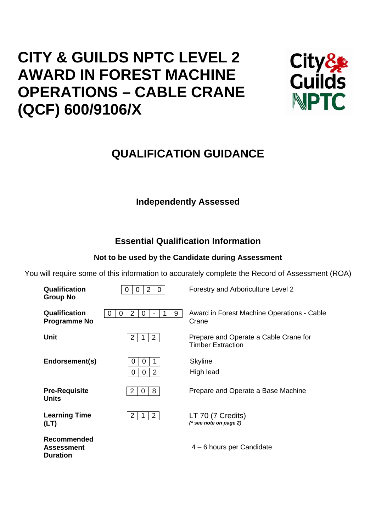# **CITY & GUILDS NPTC LEVEL 2 AWARD IN FOREST MACHINE OPERATIONS – CABLE CRANE (QCF) 600/9106/X**



## **QUALIFICATION GUIDANCE**

## **Independently Assessed**

## **Essential Qualification Information**

## **Not to be used by the Candidate during Assessment**

You will require some of this information to accurately complete the Record of Assessment (ROA)

| <b>Qualification</b><br><b>Group No</b>                    | $\overline{2}$<br>0<br>0<br>0                             | Forestry and Arboriculture Level 2                                |
|------------------------------------------------------------|-----------------------------------------------------------|-------------------------------------------------------------------|
| <b>Qualification</b><br><b>Programme No</b>                | $\overline{2}$<br>9<br>0<br>0<br>1<br>O<br>$\blacksquare$ | Award in Forest Machine Operations - Cable<br>Crane               |
| Unit                                                       | $\overline{2}$<br>2                                       | Prepare and Operate a Cable Crane for<br><b>Timber Extraction</b> |
| Endorsement(s)                                             | 0<br>O<br>1<br>$\overline{2}$<br>0<br>0                   | <b>Skyline</b><br>High lead                                       |
| <b>Pre-Requisite</b><br><b>Units</b>                       | 8<br>2<br>$\mathbf 0$                                     | Prepare and Operate a Base Machine                                |
| <b>Learning Time</b><br>(LT)                               | $\overline{2}$<br>2<br>1                                  | LT 70 (7 Credits)<br>$(*$ see note on page 2)                     |
| <b>Recommended</b><br><b>Assessment</b><br><b>Duration</b> |                                                           | 4 – 6 hours per Candidate                                         |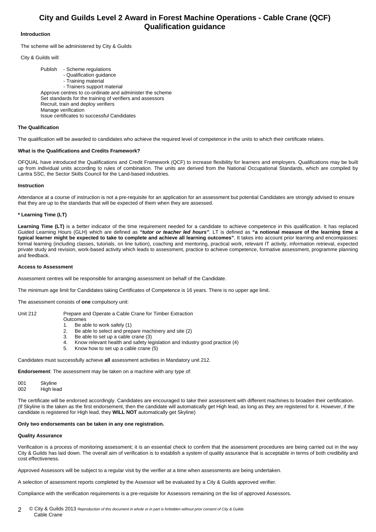### **City and Guilds Level 2 Award in Forest Machine Operations - Cable Crane (QCF) Qualification guidance**

#### **Introduction**

The scheme will be administered by City & Guilds

City & Guilds will:

 Publish - Scheme regulations - Qualification guidance - Training material - Trainers support material Approve centres to co-ordinate and administer the scheme Set standards for the training of verifiers and assessors Recruit, train and deploy verifiers Manage verification Issue certificates to successful Candidates

#### **The Qualification**

The qualification will be awarded to candidates who achieve the required level of competence in the units to which their certificate relates.

#### **What is the Qualifications and Credits Framework?**

OFQUAL have introduced the Qualifications and Credit Framework (QCF) to increase flexibility for learners and employers. Qualifications may be built up from individual units according to rules of combination. The units are derived from the National Occupational Standards, which are compiled by Lantra SSC, the Sector Skills Council for the Land-based industries.

#### **Instruction**

Attendance at a course of instruction is not a pre-requisite for an application for an assessment but potential Candidates are strongly advised to ensure that they are up to the standards that will be expected of them when they are assessed.

#### **\* Learning Time (LT)**

Learning Time (LT) is a better indicator of the time requirement needed for a candidate to achieve competence in this qualification. It has replaced Guided Learning Hours (GLH) which are defined as *"tutor or teacher led hours"*. LT is defined as **"a notional measure of the learning time a typical learner might be expected to take to complete and achieve all learning outcomes"**. It takes into account prior learning and encompasses: formal learning (including classes, tutorials, on line tuition), coaching and mentoring, practical work, relevant IT activity, information retrieval, expected private study and revision, work-based activity which leads to assessment, practice to achieve competence, formative assessment, programme planning and feedback.

#### **Access to Assessment**

Assessment centres will be responsible for arranging assessment on behalf of the Candidate.

The minimum age limit for Candidates taking Certificates of Competence is 16 years. There is no upper age limit.

The assessment consists of **one** compulsory unit:

- Unit 212 Prepare and Operate a Cable Crane for Timber Extraction
	- **Outcomes** 1. Be able to work safely (1)
	- 2. Be able to select and prepare machinery and site (2)
	- 3. Be able to set up a cable crane (3)
	- 4. Know relevant health and safety legislation and industry good practice (4)
	- 5. Know how to set up a cable crane (5)

Candidates must successfully achieve **all** assessment activities in Mandatory unit 212.

**Endorsement**: The assessment may be taken on a machine with any type of:

001 Skyline 002 High lead

The certificate will be endorsed accordingly. Candidates are encouraged to take their assessment with different machines to broaden their certification. (If Skyline is the taken as the first endorsement, then the candidate will automatically get High lead, as long as they are registered for it. However, if the candidate is registered for High lead, they **WILL NOT** automatically get Skyline)

#### **Only two endorsements can be taken in any one registration.**

#### **Quality Assurance**

Verification is a process of monitoring assessment; it is an essential check to confirm that the assessment procedures are being carried out in the way City & Guilds has laid down. The overall aim of verification is to establish a system of quality assurance that is acceptable in terms of both credibility and cost effectiveness.

Approved Assessors will be subject to a regular visit by the verifier at a time when assessments are being undertaken.

A selection of assessment reports completed by the Assessor will be evaluated by a City & Guilds approved verifier.

Compliance with the verification requirements is a pre-requisite for Assessors remaining on the list of approved Assessors.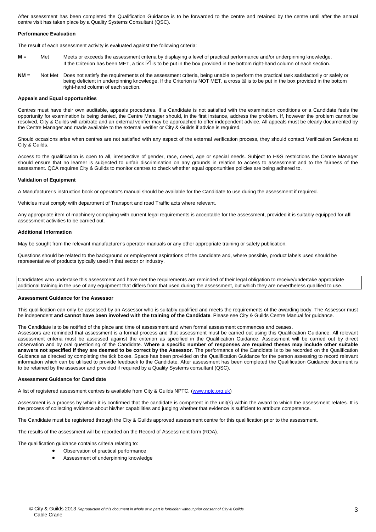After assessment has been completed the Qualification Guidance is to be forwarded to the centre and retained by the centre until after the annual centre visit has taken place by a Quality Systems Consultant (QSC).

#### **Performance Evaluation**

The result of each assessment activity is evaluated against the following criteria:

- **M** = Met Meets or exceeds the assessment criteria by displaying a level of practical performance and/or underpinning knowledge. If the Criterion has been MET, a tick  $\boxtimes$  is to be put in the box provided in the bottom right-hand column of each section.
- **NM** = Not Met Does not satisfy the requirements of the assessment criteria, being unable to perform the practical task satisfactorily or safely or being deficient in underpinning knowledge. If the Criterion is NOT MET, a cross  $\boxtimes$  is to be put in the box provided in the bottom right-hand column of each section.

#### **Appeals and Equal opportunities**

Centres must have their own auditable, appeals procedures. If a Candidate is not satisfied with the examination conditions or a Candidate feels the opportunity for examination is being denied, the Centre Manager should, in the first instance, address the problem. If, however the problem cannot be resolved, City & Guilds will arbitrate and an external verifier may be approached to offer independent advice. All appeals must be clearly documented by the Centre Manager and made available to the external verifier or City & Guilds if advice is required.

Should occasions arise when centres are not satisfied with any aspect of the external verification process, they should contact Verification Services at City & Guilds.

Access to the qualification is open to all, irrespective of gender, race, creed, age or special needs. Subject to H&S restrictions the Centre Manager should ensure that no learner is subjected to unfair discrimination on any grounds in relation to access to assessment and to the fairness of the assessment. QCA requires City & Guilds to monitor centres to check whether equal opportunities policies are being adhered to.

#### **Validation of Equipment**

A Manufacturer's instruction book or operator's manual should be available for the Candidate to use during the assessment if required.

Vehicles must comply with department of Transport and road Traffic acts where relevant.

Any appropriate item of machinery complying with current legal requirements is acceptable for the assessment, provided it is suitably equipped for **all** assessment activities to be carried out.

#### **Additional Information**

May be sought from the relevant manufacturer's operator manuals or any other appropriate training or safety publication.

Questions should be related to the background or employment aspirations of the candidate and, where possible, product labels used should be representative of products typically used in that sector or industry.

Candidates who undertake this assessment and have met the requirements are reminded of their legal obligation to receive/undertake appropriate additional training in the use of any equipment that differs from that used during the assessment, but which they are nevertheless qualified to use.

#### **Assessment Guidance for the Assessor**

This qualification can only be assessed by an Assessor who is suitably qualified and meets the requirements of the awarding body. The Assessor must be independent **and cannot have been involved with the training of the Candidate**. Please see City & Guilds Centre Manual for guidance.

The Candidate is to be notified of the place and time of assessment and when formal assessment commences and ceases.

Assessors are reminded that assessment is a formal process and that assessment must be carried out using this Qualification Guidance. All relevant assessment criteria must be assessed against the criterion as specified in the Qualification Guidance. Assessment will be carried out by direct observation and by oral questioning of the Candidate. **Where a specific number of responses are required theses may include other suitable answers not specified if they are deemed to be correct by the Assessor**. The performance of the Candidate is to be recorded on the Qualification Guidance as directed by completing the tick boxes. Space has been provided on the Qualification Guidance for the person assessing to record relevant information which can be utilised to provide feedback to the Candidate. After assessment has been completed the Qualification Guidance document is to be retained by the assessor and provided if required by a Quality Systems consultant (QSC).

#### **Assessment Guidance for Candidate**

A list of registered assessment centres is available from City & Guilds NPTC. (www.nptc.org.uk)

Assessment is a process by which it is confirmed that the candidate is competent in the unit(s) within the award to which the assessment relates. It is the process of collecting evidence about his/her capabilities and judging whether that evidence is sufficient to attribute competence.

The Candidate must be registered through the City & Guilds approved assessment centre for this qualification prior to the assessment.

The results of the assessment will be recorded on the Record of Assessment form (ROA).

The qualification guidance contains criteria relating to:

- Observation of practical performance
- Assessment of underpinning knowledge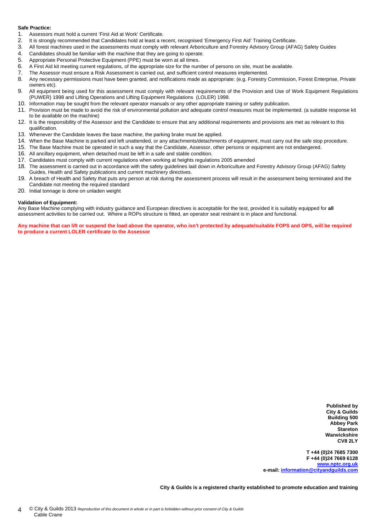#### **Safe Practice:**

- 1. Assessors must hold a current 'First Aid at Work' Certificate.
- 2. It is strongly recommended that Candidates hold at least a recent, recognised 'Emergency First Aid' Training Certificate.<br>2. All forest machines used in the assessments must comply with relevant Arboriculture and Egrest
- 3. All forest machines used in the assessments must comply with relevant Arboriculture and Forestry Advisory Group (AFAG) Safety Guides
- 4. Candidates should be familiar with the machine that they are going to operate.<br>5. Appropriate Personal Protective Equipment (PPF) must be worn at all times
- Appropriate Personal Protective Equipment (PPE) must be worn at all times.
- 6. A First Aid kit meeting current regulations, of the appropriate size for the number of persons on site, must be available.
- 7. The Assessor must ensure a Risk Assessment is carried out, and sufficient control measures implemented.
- 8. Any necessary permissions must have been granted, and notifications made as appropriate: (e.g. Forestry Commission, Forest Enterprise, Private owners etc).
- 9. All equipment being used for this assessment must comply with relevant requirements of the Provision and Use of Work Equipment Regulations (PUWER) 1998 and Lifting Operations and Lifting Equipment Regulations (LOLER) 1998.
- 10. Information may be sought from the relevant operator manuals or any other appropriate training or safety publication.
- 11. Provision must be made to avoid the risk of environmental pollution and adequate control measures must be implemented. (a suitable response kit to be available on the machine)
- 12. It is the responsibility of the Assessor and the Candidate to ensure that any additional requirements and provisions are met as relevant to this qualification.
- 13. Whenever the Candidate leaves the base machine, the parking brake must be applied.
- 14. When the Base Machine is parked and left unattended, or any attachments/detachments of equipment, must carry out the safe stop procedure.
- 15. The Base Machine must be operated in such a way that the Candidate, Assessor, other persons or equipment are not endangered.
- 16. All ancillary equipment, when detached must be left in a safe and stable condition.
- 17. Candidates must comply with current regulations when working at heights regulations 2005 amended
- 18. The assessment is carried out in accordance with the safety guidelines laid down in Arboriculture and Forestry Advisory Group (AFAG) Safety Guides, Health and Safety publications and current machinery directives.
- 19. A breach of Health and Safety that puts any person at risk during the assessment process will result in the assessment being terminated and the Candidate not meeting the required standard
- 20. Initial tonnage is done on unladen weight

#### **Validation of Equipment:**

Any Base Machine complying with industry guidance and European directives is acceptable for the test, provided it is suitably equipped for **all** assessment activities to be carried out. Where a ROPs structure is fitted, an operator seat restraint is in place and functional.

**Any machine that can lift or suspend the load above the operator, who isn't protected by adequate/suitable FOPS and OPS, will be required to produce a current LOLER certificate to the Assessor** 

> **Published by City & Guilds Building 500 Abbey Park Stareton Warwickshire CV8 2LY**

**T +44 (0)24 7685 7300 F +44 (0)24 7669 6128 www.nptc.org.uk e-mail: information@cityandguilds.com**

**City & Guilds is a registered charity established to promote education and training**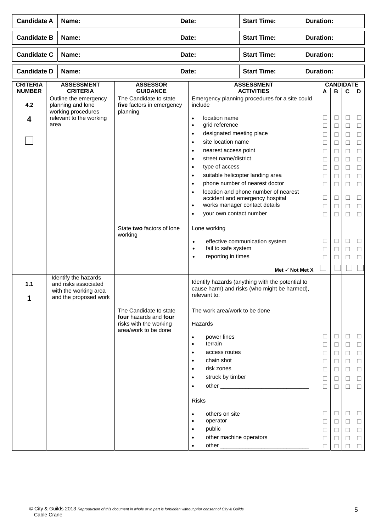| <b>Candidate A</b>               | Name:                                                                                          |                                                                           | Date:                                                                                                                                                                                              | <b>Start Time:</b>                                                                                       | <b>Duration:</b> |                                                     |                                                               |                                                     |                                                |
|----------------------------------|------------------------------------------------------------------------------------------------|---------------------------------------------------------------------------|----------------------------------------------------------------------------------------------------------------------------------------------------------------------------------------------------|----------------------------------------------------------------------------------------------------------|------------------|-----------------------------------------------------|---------------------------------------------------------------|-----------------------------------------------------|------------------------------------------------|
| <b>Candidate B</b>               | Name:                                                                                          |                                                                           | Date:                                                                                                                                                                                              | <b>Start Time:</b>                                                                                       | <b>Duration:</b> |                                                     |                                                               |                                                     |                                                |
| <b>Candidate C</b>               | Name:                                                                                          |                                                                           | Date:                                                                                                                                                                                              | <b>Start Time:</b>                                                                                       | <b>Duration:</b> |                                                     |                                                               |                                                     |                                                |
| <b>Candidate D</b>               | Name:                                                                                          |                                                                           | Date:                                                                                                                                                                                              | <b>Start Time:</b>                                                                                       | <b>Duration:</b> |                                                     |                                                               |                                                     |                                                |
| <b>CRITERIA</b><br><b>NUMBER</b> | <b>ASSESSMENT</b><br><b>CRITERIA</b>                                                           | <b>ASSESSOR</b><br><b>GUIDANCE</b>                                        |                                                                                                                                                                                                    | <b>ASSESSMENT</b><br><b>ACTIVITIES</b>                                                                   |                  | A                                                   | <b>CANDIDATE</b><br>в                                         | C                                                   | D                                              |
| 4.2                              | Outline the emergency<br>planning and lone<br>working procedures                               | The Candidate to state<br>five factors in emergency<br>planning           | include                                                                                                                                                                                            | Emergency planning procedures for a site could                                                           |                  |                                                     |                                                               |                                                     |                                                |
| 4                                | relevant to the working<br>area                                                                |                                                                           | location name<br>$\bullet$<br>grid reference<br>$\bullet$<br>designated meeting place<br>$\bullet$                                                                                                 |                                                                                                          |                  | $\Box$<br>$\Box$<br>$\Box$                          | $\Box$<br>$\Box$<br>□                                         | □<br>$\Box$<br>□                                    | □<br>$\Box$<br>□                               |
|                                  |                                                                                                |                                                                           | site location name<br>$\bullet$<br>nearest access point<br>$\bullet$<br>street name/district<br>$\bullet$                                                                                          |                                                                                                          |                  | $\Box$<br>□                                         | □<br>$\Box$                                                   | □<br>□                                              | □<br>□                                         |
|                                  |                                                                                                |                                                                           | type of access<br>$\bullet$<br>$\bullet$<br>$\bullet$                                                                                                                                              | suitable helicopter landing area<br>phone number of nearest doctor                                       |                  | $\Box$<br>$\Box$<br>□<br>$\Box$                     | □<br>$\Box$<br>$\Box$<br>$\Box$                               | $\Box$<br>□<br>□<br>□                               | □<br>□<br>□<br>$\Box$                          |
|                                  |                                                                                                |                                                                           | $\bullet$<br>$\bullet$<br>your own contact number<br>$\bullet$                                                                                                                                     | location and phone number of nearest<br>accident and emergency hospital<br>works manager contact details |                  | $\Box$<br>$\Box$<br>$\Box$                          | $\Box$<br>$\Box$<br>П                                         | $\Box$<br>□<br>□                                    | □<br>□<br>П                                    |
|                                  |                                                                                                | State two factors of lone<br>working                                      | Lone working                                                                                                                                                                                       |                                                                                                          |                  |                                                     |                                                               |                                                     |                                                |
|                                  |                                                                                                |                                                                           | $\bullet$<br>fail to safe system<br>$\bullet$<br>reporting in times<br>$\bullet$                                                                                                                   | effective communication system                                                                           |                  | □<br>$\Box$<br>П                                    | $\Box$<br>□<br>$\Box$                                         | $\Box$<br>□<br>$\Box$                               | □<br>□<br>П                                    |
|                                  |                                                                                                |                                                                           |                                                                                                                                                                                                    | Met $\checkmark$ Not Met X                                                                               |                  |                                                     |                                                               |                                                     |                                                |
| 1.1<br>1                         | Identify the hazards<br>and risks associated<br>with the working area<br>and the proposed work |                                                                           | relevant to:                                                                                                                                                                                       | Identify hazards (anything with the potential to<br>cause harm) and risks (who might be harmed),         |                  |                                                     |                                                               |                                                     |                                                |
|                                  |                                                                                                | The Candidate to state<br>four hazards and four<br>risks with the working | The work area/work to be done<br>Hazards                                                                                                                                                           |                                                                                                          |                  |                                                     |                                                               |                                                     |                                                |
|                                  |                                                                                                | area/work to be done                                                      | power lines<br>$\bullet$<br>terrain<br>$\bullet$<br>access routes<br>$\bullet$<br>chain shot<br>$\bullet$<br>risk zones<br>$\bullet$<br>struck by timber<br>$\bullet$<br>$\bullet$<br><b>Risks</b> |                                                                                                          |                  | □<br>$\Box$<br>$\Box$<br>□<br>$\Box$<br>□<br>$\Box$ | $\Box$<br>$\Box$<br>$\Box$<br>□<br>$\Box$<br>$\Box$<br>$\Box$ | $\Box$<br>$\Box$<br>$\Box$<br>□<br>$\Box$<br>⊔<br>□ | ⊔<br>□<br>$\Box$<br>□<br>$\Box$<br>□<br>$\Box$ |
|                                  |                                                                                                |                                                                           | others on site<br>$\bullet$<br>operator<br>$\bullet$<br>public<br>$\bullet$<br>other machine operators<br>$\bullet$                                                                                |                                                                                                          |                  | $\Box$<br>$\Box$<br>□<br>□                          | $\Box$<br>$\Box$<br>⊔<br>□                                    | $\Box$<br>$\Box$<br>⊔<br>□<br>П                     | □<br>$\Box$<br>□<br>$\Box$<br>П                |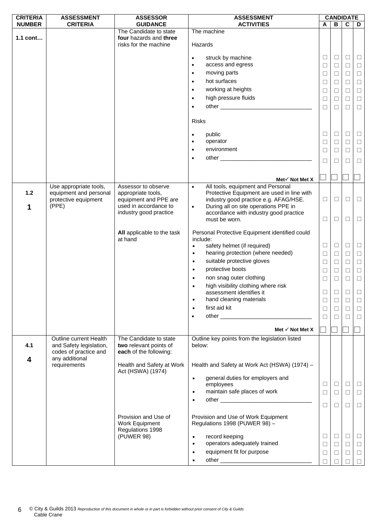| <b>CRITERIA</b> | <b>ASSESSMENT</b>                                 | <b>ASSESSOR</b>                                            | <b>ASSESSMENT</b>                                                                                                                                                                                                                           |        | <b>CANDIDATE</b> |             |        |
|-----------------|---------------------------------------------------|------------------------------------------------------------|---------------------------------------------------------------------------------------------------------------------------------------------------------------------------------------------------------------------------------------------|--------|------------------|-------------|--------|
| <b>NUMBER</b>   | <b>CRITERIA</b>                                   | <b>GUIDANCE</b>                                            | <b>ACTIVITIES</b>                                                                                                                                                                                                                           | A      | в                | $\mathbf c$ | D      |
| 1.1 cont        |                                                   | The Candidate to state<br>four hazards and three           | The machine                                                                                                                                                                                                                                 |        |                  |             |        |
|                 |                                                   | risks for the machine                                      | Hazards                                                                                                                                                                                                                                     |        |                  |             |        |
|                 |                                                   |                                                            | struck by machine<br>$\bullet$                                                                                                                                                                                                              | ⊔      | $\Box$           | Ц           | ш      |
|                 |                                                   |                                                            | access and egress<br>$\bullet$                                                                                                                                                                                                              | $\Box$ | $\Box$           | $\Box$      | $\Box$ |
|                 |                                                   |                                                            | moving parts<br>$\bullet$                                                                                                                                                                                                                   | □      | $\Box$           | $\Box$      | $\Box$ |
|                 |                                                   |                                                            | hot surfaces<br>$\bullet$                                                                                                                                                                                                                   | ⊔      | □                | □           | $\Box$ |
|                 |                                                   |                                                            | working at heights<br>$\bullet$                                                                                                                                                                                                             | $\Box$ | □                | □           | $\Box$ |
|                 |                                                   |                                                            | high pressure fluids<br>$\bullet$                                                                                                                                                                                                           | □      | □                | □           | $\Box$ |
|                 |                                                   |                                                            | $\bullet$                                                                                                                                                                                                                                   | $\Box$ | $\Box$           | $\Box$      | $\Box$ |
|                 |                                                   |                                                            |                                                                                                                                                                                                                                             |        |                  |             |        |
|                 |                                                   |                                                            | <b>Risks</b>                                                                                                                                                                                                                                |        |                  |             |        |
|                 |                                                   |                                                            | public                                                                                                                                                                                                                                      | $\Box$ | $\Box$           | $\Box$      | $\Box$ |
|                 |                                                   |                                                            | $\bullet$<br>operator<br>$\bullet$                                                                                                                                                                                                          | $\Box$ | $\Box$           | $\Box$      | $\Box$ |
|                 |                                                   |                                                            | environment<br>$\bullet$                                                                                                                                                                                                                    |        |                  |             |        |
|                 |                                                   |                                                            | other experience and the contract of the contract of the contract of the contract of the contract of the contract of the contract of the contract of the contract of the contract of the contract of the contract of the contr<br>$\bullet$ | $\Box$ | □                | $\Box$      | $\Box$ |
|                 |                                                   |                                                            |                                                                                                                                                                                                                                             | □      | □                | □           | $\Box$ |
|                 |                                                   |                                                            |                                                                                                                                                                                                                                             |        |                  |             |        |
|                 |                                                   |                                                            | Met $\checkmark$ Not Met X                                                                                                                                                                                                                  |        |                  |             |        |
|                 | Use appropriate tools,                            | Assessor to observe                                        | All tools, equipment and Personal<br>$\bullet$                                                                                                                                                                                              |        |                  |             |        |
| $1.2$           | equipment and personal<br>protective equipment    | appropriate tools,<br>equipment and PPE are                | Protective Equipment are used in line with<br>industry good practice e.g. AFAG/HSE.                                                                                                                                                         | □      | □                | ⊔           | $\Box$ |
| 1               | (PPE)                                             | used in accordance to                                      | During all on site operations PPE in<br>$\bullet$                                                                                                                                                                                           |        |                  |             |        |
|                 |                                                   | industry good practice                                     | accordance with industry good practice                                                                                                                                                                                                      |        |                  |             |        |
|                 |                                                   |                                                            | must be worn.                                                                                                                                                                                                                               | □      | $\Box$           | □           | $\Box$ |
|                 |                                                   | All applicable to the task                                 | Personal Protective Equipment identified could                                                                                                                                                                                              |        |                  |             |        |
|                 |                                                   | at hand                                                    | include:                                                                                                                                                                                                                                    |        |                  |             |        |
|                 |                                                   |                                                            | safety helmet (if required)<br>$\bullet$                                                                                                                                                                                                    | $\Box$ | $\Box$           | $\Box$      | $\Box$ |
|                 |                                                   |                                                            | hearing protection (where needed)<br>$\bullet$                                                                                                                                                                                              | $\Box$ | $\Box$           | $\Box$      | $\Box$ |
|                 |                                                   |                                                            | suitable protective gloves<br>$\bullet$                                                                                                                                                                                                     | $\Box$ | □                | $\Box$      | $\Box$ |
|                 |                                                   |                                                            | protective boots<br>$\bullet$                                                                                                                                                                                                               | $\Box$ | $\Box$           | $\Box$      | $\Box$ |
|                 |                                                   |                                                            | non snag outer clothing<br>$\bullet$                                                                                                                                                                                                        | □      | □                | $\Box$      | $\Box$ |
|                 |                                                   |                                                            | high visibility clothing where risk                                                                                                                                                                                                         |        |                  |             |        |
|                 |                                                   |                                                            | assessment identifies it                                                                                                                                                                                                                    | □      | □                | □           | $\Box$ |
|                 |                                                   |                                                            | hand cleaning materials<br>٠                                                                                                                                                                                                                | □      | $\Box$           | □           | □      |
|                 |                                                   |                                                            | first aid kit<br>$\bullet$                                                                                                                                                                                                                  | ⊔      | □                | □           | □      |
|                 |                                                   |                                                            |                                                                                                                                                                                                                                             | ⊔      | П                | □           | □      |
|                 |                                                   |                                                            | Met $\checkmark$ Not Met X                                                                                                                                                                                                                  |        |                  |             |        |
| 4.1             | Outline current Health<br>and Safety legislation, | The Candidate to state<br>two relevant points of           | Outline key points from the legislation listed<br>below:                                                                                                                                                                                    |        |                  |             |        |
|                 | codes of practice and                             | each of the following:                                     |                                                                                                                                                                                                                                             |        |                  |             |        |
| 4               | any additional                                    |                                                            |                                                                                                                                                                                                                                             |        |                  |             |        |
|                 | requirements                                      | Health and Safety at Work<br>Act (HSWA) (1974)             | Health and Safety at Work Act (HSWA) (1974) -                                                                                                                                                                                               |        |                  |             |        |
|                 |                                                   |                                                            | general duties for employers and<br>$\bullet$                                                                                                                                                                                               |        |                  |             |        |
|                 |                                                   |                                                            | employees                                                                                                                                                                                                                                   | $\Box$ | $\Box$           | $\Box$      | $\Box$ |
|                 |                                                   |                                                            | maintain safe places of work<br>$\bullet$                                                                                                                                                                                                   | □      | $\Box$           | □           | $\Box$ |
|                 |                                                   |                                                            | ٠                                                                                                                                                                                                                                           | $\Box$ | $\Box$           | □           | $\Box$ |
|                 |                                                   |                                                            |                                                                                                                                                                                                                                             |        |                  |             |        |
|                 |                                                   | Provision and Use of<br>Work Equipment<br>Regulations 1998 | Provision and Use of Work Equipment<br>Regulations 1998 (PUWER 98) -                                                                                                                                                                        |        |                  |             |        |
|                 |                                                   | (PUWER 98)                                                 | record keeping<br>$\bullet$                                                                                                                                                                                                                 | □      | $\Box$           | □           | $\Box$ |
|                 |                                                   |                                                            | operators adequately trained<br>$\bullet$                                                                                                                                                                                                   | $\Box$ | $\Box$           | $\Box$      | $\Box$ |
|                 |                                                   |                                                            | equipment fit for purpose<br>$\bullet$                                                                                                                                                                                                      | ⊔      | □                | $\Box$      | $\Box$ |
|                 |                                                   |                                                            |                                                                                                                                                                                                                                             | П      | П                | П           | $\Box$ |
|                 |                                                   |                                                            |                                                                                                                                                                                                                                             |        |                  |             |        |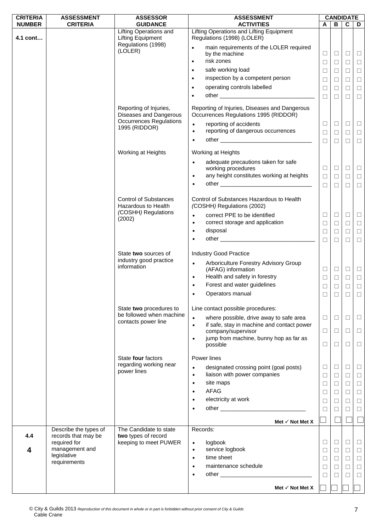| <b>CRITERIA</b> | <b>ASSESSMENT</b>                            | <b>ASSESSOR</b>                                                                    | <b>ASSESSMENT</b>                                                                                                             |                  | <b>CANDIDATE</b> |                  |                  |
|-----------------|----------------------------------------------|------------------------------------------------------------------------------------|-------------------------------------------------------------------------------------------------------------------------------|------------------|------------------|------------------|------------------|
| <b>NUMBER</b>   | <b>CRITERIA</b>                              | <b>GUIDANCE</b>                                                                    | <b>ACTIVITIES</b>                                                                                                             | A                |                  | $B \mid C$       | D                |
| 4.1 cont        |                                              | <b>Lifting Operations and</b><br><b>Lifting Equipment</b>                          | Lifting Operations and Lifting Equipment<br>Regulations (1998) (LOLER)                                                        |                  |                  |                  |                  |
|                 |                                              | Regulations (1998)<br>(LOLER)                                                      | main requirements of the LOLER required                                                                                       |                  |                  |                  |                  |
|                 |                                              |                                                                                    | by the machine                                                                                                                | Ц                | $\Box$           | $\Box$           | $\sqcup$         |
|                 |                                              |                                                                                    | risk zones<br>$\bullet$                                                                                                       | $\Box$           | $\Box$           | $\Box$           | $\Box$           |
|                 |                                              |                                                                                    | safe working load                                                                                                             | ⊔                | $\Box$           | □                | $\Box$           |
|                 |                                              |                                                                                    | inspection by a competent person<br>$\bullet$                                                                                 | $\Box$           | $\Box$           | $\Box$           | $\Box$           |
|                 |                                              |                                                                                    | operating controls labelled<br>$\bullet$                                                                                      | $\Box$           | $\Box$           | $\Box$           | $\Box$           |
|                 |                                              |                                                                                    |                                                                                                                               | $\Box$           | $\Box$           | $\Box$           | $\Box$           |
|                 |                                              | Reporting of Injuries,<br>Diseases and Dangerous<br><b>Occurrences Regulations</b> | Reporting of Injuries, Diseases and Dangerous<br>Occurrences Regulations 1995 (RIDDOR)<br>reporting of accidents<br>$\bullet$ | $\Box$           | $\Box$           | □                | $\Box$           |
|                 |                                              | 1995 (RIDDOR)                                                                      | reporting of dangerous occurrences<br>$\bullet$                                                                               | $\Box$           | $\Box$           | $\Box$           | $\Box$           |
|                 |                                              |                                                                                    | $\bullet$                                                                                                                     | $\Box$           | $\Box$           | $\Box$           | $\Box$           |
|                 |                                              | Working at Heights                                                                 | Working at Heights                                                                                                            |                  |                  |                  |                  |
|                 |                                              |                                                                                    | adequate precautions taken for safe<br>$\bullet$<br>working procedures                                                        | $\Box$           | $\Box$           | $\Box$           | $\Box$           |
|                 |                                              |                                                                                    | any height constitutes working at heights<br>$\bullet$                                                                        | $\Box$           | $\Box$           | $\Box$           | $\Box$           |
|                 |                                              |                                                                                    |                                                                                                                               | $\Box$           | $\Box$           | $\Box$           | $\Box$           |
|                 |                                              | <b>Control of Substances</b><br>Hazardous to Health<br>(COSHH) Regulations         | Control of Substances Hazardous to Health<br>(COSHH) Regulations (2002)                                                       |                  |                  |                  |                  |
|                 |                                              | (2002)                                                                             | correct PPE to be identified<br>$\bullet$<br>correct storage and application<br>$\bullet$                                     | $\Box$<br>$\Box$ | $\Box$<br>$\Box$ | $\Box$<br>$\Box$ | $\Box$<br>$\Box$ |
|                 |                                              |                                                                                    | disposal<br>$\bullet$                                                                                                         | $\Box$           | $\Box$           | □                | $\Box$           |
|                 |                                              |                                                                                    | $\bullet$                                                                                                                     | $\Box$           | $\Box$           | $\Box$           | $\Box$           |
|                 |                                              |                                                                                    |                                                                                                                               |                  |                  |                  |                  |
|                 |                                              | State two sources of                                                               | <b>Industry Good Practice</b>                                                                                                 |                  |                  |                  |                  |
|                 |                                              | industry good practice                                                             | Arboriculture Forestry Advisory Group<br>$\bullet$                                                                            |                  |                  |                  |                  |
|                 |                                              | information                                                                        | (AFAG) information                                                                                                            | $\Box$           | $\Box$           | $\Box$           | $\Box$           |
|                 |                                              |                                                                                    | Health and safety in forestry<br>$\bullet$                                                                                    | $\Box$           | $\Box$           | $\Box$           | $\Box$           |
|                 |                                              |                                                                                    | Forest and water guidelines<br>$\bullet$                                                                                      | $\Box$           | $\Box$           | $\Box$           | $\Box$           |
|                 |                                              |                                                                                    | Operators manual                                                                                                              | $\Box$           | $\Box$           | $\Box$           | $\Box$           |
|                 |                                              | State two procedures to                                                            | Line contact possible procedures:                                                                                             |                  |                  |                  |                  |
|                 |                                              | be followed when machine                                                           | where possible, drive away to safe area                                                                                       |                  |                  |                  |                  |
|                 |                                              | contacts power line                                                                | $\bullet$<br>if safe, stay in machine and contact power<br>$\bullet$                                                          | $\Box$           | $\Box$           | $\Box$           | $\Box$           |
|                 |                                              |                                                                                    | company/supervisor                                                                                                            | $\Box$           | $\Box$           | $\Box$           | $\Box$           |
|                 |                                              |                                                                                    | jump from machine, bunny hop as far as<br>$\bullet$                                                                           |                  |                  |                  |                  |
|                 |                                              |                                                                                    | possible                                                                                                                      | $\Box$           | $\Box$           | $\Box$           | $\Box$           |
|                 |                                              | State four factors                                                                 | Power lines                                                                                                                   |                  |                  |                  |                  |
|                 |                                              | regarding working near                                                             | designated crossing point (goal posts)<br>$\bullet$                                                                           | □                | $\Box$           | ⊔                | □                |
|                 |                                              | power lines                                                                        | liaison with power companies<br>$\bullet$                                                                                     | □                | $\Box$           | □                | $\Box$           |
|                 |                                              |                                                                                    | site maps<br>$\bullet$                                                                                                        | $\Box$           | $\Box$           | $\Box$           | $\Box$           |
|                 |                                              |                                                                                    | <b>AFAG</b><br>$\bullet$                                                                                                      | $\Box$           | $\Box$           | $\Box$           | $\Box$           |
|                 |                                              |                                                                                    | electricity at work<br>$\bullet$                                                                                              |                  |                  |                  |                  |
|                 |                                              |                                                                                    | $\bullet$                                                                                                                     | $\Box$           | $\Box$           | $\Box$           | $\Box$           |
|                 |                                              |                                                                                    |                                                                                                                               | П                | □                | □                | $\Box$           |
|                 |                                              |                                                                                    | Met $\checkmark$ Not Met X                                                                                                    |                  |                  |                  |                  |
| 4.4             | Describe the types of<br>records that may be | The Candidate to state<br>two types of record                                      | Records:                                                                                                                      |                  |                  |                  |                  |
|                 | required for                                 | keeping to meet PUWER                                                              | logbook<br>$\bullet$                                                                                                          | ⊔                | $\Box$           | ⊔                | $\Box$           |
| 4               | management and                               |                                                                                    | service logbook<br>$\bullet$                                                                                                  | $\Box$           | $\Box$           | $\Box$           | $\Box$           |
|                 | legislative<br>requirements                  |                                                                                    | time sheet<br>$\bullet$                                                                                                       | □                | $\Box$           | $\Box$           | $\Box$           |
|                 |                                              |                                                                                    | maintenance schedule<br>$\bullet$                                                                                             | $\Box$           | $\Box$           | $\Box$           | $\Box$           |
|                 |                                              |                                                                                    | $\bullet$                                                                                                                     | $\Box$           | $\Box$           | □                | $\Box$           |
|                 |                                              |                                                                                    | Met $\checkmark$ Not Met X                                                                                                    |                  |                  |                  |                  |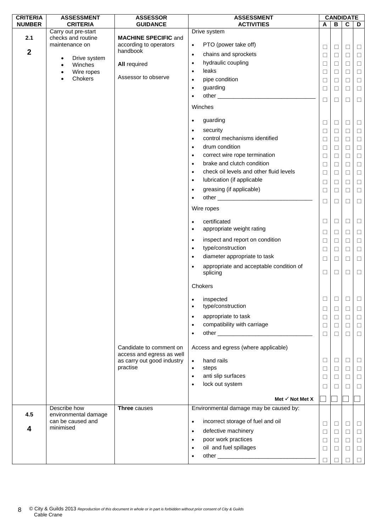| <b>CRITERIA</b>         | <b>ASSESSMENT</b>                    | <b>ASSESSOR</b>                    | <b>ASSESSMENT</b>                                                                                                          | <b>CANDIDATE</b> |        |             |        |
|-------------------------|--------------------------------------|------------------------------------|----------------------------------------------------------------------------------------------------------------------------|------------------|--------|-------------|--------|
| <b>NUMBER</b>           | <b>CRITERIA</b>                      | <b>GUIDANCE</b>                    | <b>ACTIVITIES</b>                                                                                                          | A                | В      | $\mathbf c$ | D      |
|                         | Carry out pre-start                  |                                    | Drive system                                                                                                               |                  |        |             |        |
| 2.1                     | checks and routine                   | <b>MACHINE SPECIFIC and</b>        |                                                                                                                            |                  |        |             |        |
|                         | maintenance on                       | according to operators<br>handbook | PTO (power take off)<br>$\bullet$                                                                                          | $\Box$           | $\Box$ | $\Box$      | $\Box$ |
| $\boldsymbol{2}$        | Drive system<br>$\bullet$            |                                    | chains and sprockets<br>$\bullet$                                                                                          | ⊔                | $\Box$ | $\Box$      | $\Box$ |
|                         | Winches<br>$\bullet$                 | <b>All required</b>                | hydraulic coupling<br>$\bullet$                                                                                            | $\Box$           | $\Box$ | $\Box$      | $\Box$ |
|                         | Wire ropes<br>٠                      |                                    | leaks<br>$\bullet$                                                                                                         | $\Box$           | □      | □           | $\Box$ |
|                         | Chokers<br>٠                         | Assessor to observe                | pipe condition<br>$\bullet$                                                                                                | □                | □      | □           | $\Box$ |
|                         |                                      |                                    | guarding<br>$\bullet$                                                                                                      | $\Box$           | $\Box$ | $\Box$      | $\Box$ |
|                         |                                      |                                    | other and the contract of the contract of the contract of the contract of the contract of the contract of the<br>$\bullet$ |                  |        |             |        |
|                         |                                      |                                    |                                                                                                                            | $\Box$           | $\Box$ | $\Box$      | $\Box$ |
|                         |                                      |                                    | Winches                                                                                                                    |                  |        |             |        |
|                         |                                      |                                    | guarding<br>$\bullet$                                                                                                      | $\Box$           | $\Box$ | $\Box$      | $\Box$ |
|                         |                                      |                                    | security<br>$\bullet$                                                                                                      | □                | $\Box$ | □           | $\Box$ |
|                         |                                      |                                    | control mechanisms identified<br>$\bullet$                                                                                 | $\Box$           | $\Box$ | $\Box$      | $\Box$ |
|                         |                                      |                                    | drum condition<br>$\bullet$                                                                                                | $\Box$           | $\Box$ | $\Box$      | $\Box$ |
|                         |                                      |                                    | correct wire rope termination<br>$\bullet$                                                                                 |                  |        |             |        |
|                         |                                      |                                    | brake and clutch condition                                                                                                 | □                | □      | □           | $\Box$ |
|                         |                                      |                                    | $\bullet$                                                                                                                  | $\Box$           | $\Box$ | $\Box$      | $\Box$ |
|                         |                                      |                                    | check oil levels and other fluid levels<br>$\bullet$                                                                       | $\Box$           | $\Box$ | $\Box$      | $\Box$ |
|                         |                                      |                                    | lubrication (if applicable<br>$\bullet$                                                                                    | $\Box$           | $\Box$ | $\Box$      | $\Box$ |
|                         |                                      |                                    | greasing (if applicable)<br>$\bullet$                                                                                      | $\Box$           | □      | $\Box$      | $\Box$ |
|                         |                                      |                                    | $\bullet$                                                                                                                  | $\Box$           | $\Box$ | $\Box$      | $\Box$ |
|                         |                                      |                                    | Wire ropes                                                                                                                 |                  |        |             |        |
|                         |                                      |                                    |                                                                                                                            |                  |        |             |        |
|                         |                                      |                                    | certificated<br>$\bullet$                                                                                                  | $\Box$           | $\Box$ | $\Box$      | $\Box$ |
|                         |                                      |                                    | appropriate weight rating<br>$\bullet$                                                                                     | $\Box$           | $\Box$ | $\Box$      | $\Box$ |
|                         |                                      |                                    | inspect and report on condition<br>$\bullet$                                                                               | $\Box$           | $\Box$ | $\Box$      | $\Box$ |
|                         |                                      |                                    | type/construction<br>$\bullet$                                                                                             | $\Box$           | $\Box$ | □           | $\Box$ |
|                         |                                      |                                    | diameter appropriate to task<br>$\bullet$                                                                                  |                  |        |             |        |
|                         |                                      |                                    |                                                                                                                            | $\Box$           | $\Box$ | $\Box$      | $\Box$ |
|                         |                                      |                                    | appropriate and acceptable condition of<br>$\bullet$<br>splicing                                                           | $\Box$           | $\Box$ | □           | $\Box$ |
|                         |                                      |                                    | Chokers                                                                                                                    |                  |        |             |        |
|                         |                                      |                                    |                                                                                                                            |                  |        |             |        |
|                         |                                      |                                    | inspected<br>$\bullet$                                                                                                     |                  | $\Box$ |             | $\Box$ |
|                         |                                      |                                    | type/construction<br>$\bullet$                                                                                             | ⊔                | $\Box$ | $\Box$      | $\Box$ |
|                         |                                      |                                    | appropriate to task<br>$\bullet$                                                                                           | ⊔                | $\Box$ | □           | $\Box$ |
|                         |                                      |                                    | compatibility with carriage<br>$\bullet$                                                                                   |                  |        |             |        |
|                         |                                      |                                    |                                                                                                                            | $\Box$           | $\Box$ | $\Box$      | $\Box$ |
|                         |                                      |                                    | $\bullet$                                                                                                                  | □                | П      | □           | $\Box$ |
|                         |                                      | Candidate to comment on            | Access and egress (where applicable)                                                                                       |                  |        |             |        |
|                         |                                      | access and egress as well          |                                                                                                                            |                  |        |             |        |
|                         |                                      | as carry out good industry         | hand rails<br>$\bullet$                                                                                                    | □                | $\Box$ | □           | □      |
|                         |                                      | practise                           | steps<br>$\bullet$                                                                                                         | $\Box$           | $\Box$ | $\Box$      | $\Box$ |
|                         |                                      |                                    | anti slip surfaces<br>$\bullet$                                                                                            | □                | □      | □           | $\Box$ |
|                         |                                      |                                    | lock out system<br>$\bullet$                                                                                               |                  |        |             |        |
|                         |                                      |                                    |                                                                                                                            | □                | П      | □           | $\Box$ |
|                         |                                      |                                    | Met $\checkmark$ Not Met X                                                                                                 |                  |        |             |        |
| 4.5                     | Describe how<br>environmental damage | <b>Three causes</b>                | Environmental damage may be caused by:                                                                                     |                  |        |             |        |
|                         | can be caused and                    |                                    | incorrect storage of fuel and oil<br>$\bullet$                                                                             | □                | $\Box$ | $\Box$      | $\Box$ |
| $\overline{\mathbf{4}}$ | minimised                            |                                    | defective machinery<br>$\bullet$                                                                                           | $\Box$           | $\Box$ | $\Box$      | $\Box$ |
|                         |                                      |                                    | poor work practices<br>$\bullet$                                                                                           |                  |        |             |        |
|                         |                                      |                                    | oil and fuel spillages                                                                                                     | □                | □      | $\Box$      | $\Box$ |
|                         |                                      |                                    | $\bullet$                                                                                                                  | $\Box$           | $\Box$ | $\Box$      | $\Box$ |
|                         |                                      |                                    | $\bullet$                                                                                                                  | $\Box$           | П      | П           | $\Box$ |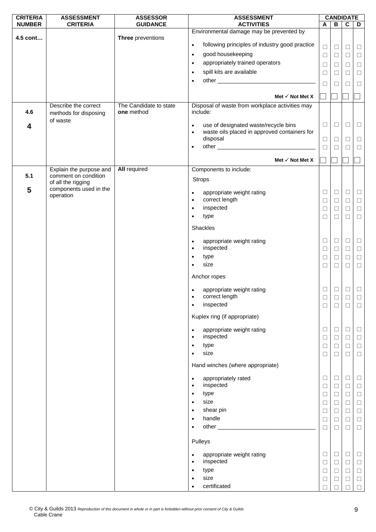| <b>CRITERIA</b> | <b>ASSESSMENT</b>                             | <b>ASSESSOR</b>                      | <b>ASSESSMENT</b>                                                |                  |        | <b>CANDIDATE</b> |                  |
|-----------------|-----------------------------------------------|--------------------------------------|------------------------------------------------------------------|------------------|--------|------------------|------------------|
| <b>NUMBER</b>   | <b>CRITERIA</b>                               | <b>GUIDANCE</b>                      | <b>ACTIVITIES</b>                                                | $\mathsf{A}$     | В      | $\mathbf c$      | D                |
|                 |                                               |                                      | Environmental damage may be prevented by                         |                  |        |                  |                  |
| 4.5 cont        |                                               | Three preventions                    | following principles of industry good practice<br>$\bullet$      |                  |        |                  |                  |
|                 |                                               |                                      |                                                                  | $\Box$           | $\Box$ | $\Box$           | $\Box$           |
|                 |                                               |                                      | good housekeeping<br>$\bullet$                                   | $\Box$           | $\Box$ | $\Box$           | $\Box$           |
|                 |                                               |                                      | appropriately trained operators<br>$\bullet$                     | $\Box$           | □      | $\Box$           | $\Box$           |
|                 |                                               |                                      | spill kits are available<br>$\bullet$                            | $\Box$           | $\Box$ | $\Box$           | $\Box$           |
|                 |                                               |                                      | $\bullet$                                                        | $\Box$           | П      | П                | $\Box$           |
|                 |                                               |                                      |                                                                  |                  |        |                  |                  |
|                 |                                               |                                      | Met $\checkmark$ Not Met X                                       |                  |        |                  |                  |
| 4.6             | Describe the correct<br>methods for disposing | The Candidate to state<br>one method | Disposal of waste from workplace activities may<br>include:      |                  |        |                  |                  |
|                 | of waste                                      |                                      | use of designated waste/recycle bins<br>$\bullet$                | $\Box$           | □      | $\Box$           | $\Box$           |
| 4               |                                               |                                      | waste oils placed in approved containers for<br>$\bullet$        |                  |        |                  |                  |
|                 |                                               |                                      | disposal                                                         | $\Box$           | ⊔      | □                | $\Box$           |
|                 |                                               |                                      | $\bullet$                                                        | $\Box$           | □      | $\Box$           | $\Box$           |
|                 |                                               |                                      |                                                                  |                  |        |                  |                  |
|                 |                                               |                                      | Met $\checkmark$ Not Met X                                       |                  |        |                  |                  |
|                 | Explain the purpose and                       | <b>All required</b>                  | Components to include:                                           |                  |        |                  |                  |
| 5.1             | comment on condition                          |                                      | <b>Strops</b>                                                    |                  |        |                  |                  |
| 5               | of all the rigging<br>components used in the  |                                      |                                                                  |                  |        |                  |                  |
|                 | operation                                     |                                      | appropriate weight rating<br>$\bullet$                           | $\Box$           | □      | $\Box$           | $\Box$           |
|                 |                                               |                                      | correct length<br>$\bullet$                                      | $\Box$           | □      | $\Box$           | $\Box$           |
|                 |                                               |                                      | inspected<br>$\bullet$                                           | $\Box$           | □      | $\Box$           | $\Box$           |
|                 |                                               |                                      | type<br>$\bullet$                                                | □                | □      | $\Box$           | $\Box$           |
|                 |                                               |                                      | Shackles                                                         |                  |        |                  |                  |
|                 |                                               |                                      |                                                                  |                  |        |                  |                  |
|                 |                                               |                                      | appropriate weight rating<br>$\bullet$                           | $\Box$           | □      | $\Box$           | $\Box$           |
|                 |                                               |                                      | inspected<br>$\bullet$                                           | $\Box$           | □      | $\Box$           | $\Box$           |
|                 |                                               |                                      | type<br>$\bullet$                                                | $\Box$           | □      | $\Box$           | $\Box$           |
|                 |                                               |                                      | size<br>$\bullet$                                                | □                | □      | $\Box$           | $\Box$           |
|                 |                                               |                                      | Anchor ropes                                                     |                  |        |                  |                  |
|                 |                                               |                                      | appropriate weight rating                                        | $\Box$           | $\Box$ | $\Box$           | $\Box$           |
|                 |                                               |                                      | correct length                                                   | $\Box$           | $\Box$ | $\Box$           | $\Box$           |
|                 |                                               |                                      | inspected<br>$\bullet$                                           | $\Box$           | □      | $\Box$           | $\Box$           |
|                 |                                               |                                      | Kuplex ring (if appropriate)                                     |                  |        |                  |                  |
|                 |                                               |                                      | appropriate weight rating<br>$\bullet$<br>inspected<br>$\bullet$ | $\Box$<br>$\Box$ | □<br>□ | $\Box$<br>$\Box$ | $\Box$<br>$\Box$ |
|                 |                                               |                                      | type<br>$\bullet$                                                | $\Box$           | Ш      | $\Box$           | $\Box$           |
|                 |                                               |                                      | size<br>$\bullet$                                                | $\Box$           | $\Box$ | $\Box$           | $\Box$           |
|                 |                                               |                                      | Hand winches (where appropriate)                                 |                  |        |                  |                  |
|                 |                                               |                                      | appropriately rated<br>$\bullet$                                 | $\Box$           | ⊔      | □                | $\Box$           |
|                 |                                               |                                      | inspected<br>$\bullet$                                           | $\Box$           | □      | $\Box$           | $\Box$           |
|                 |                                               |                                      | type<br>$\bullet$                                                | $\Box$           | □      | $\Box$           | $\Box$           |
|                 |                                               |                                      | size<br>$\bullet$                                                | $\Box$           | Ш      | $\Box$           | $\Box$           |
|                 |                                               |                                      | shear pin<br>$\bullet$                                           | $\Box$           | $\Box$ | $\Box$           | $\Box$           |
|                 |                                               |                                      | handle<br>$\bullet$                                              | □                | ⊔      | $\Box$           | $\Box$           |
|                 |                                               |                                      | $\bullet$                                                        | $\Box$           | □      | $\Box$           | $\Box$           |
|                 |                                               |                                      | Pulleys                                                          |                  |        |                  |                  |
|                 |                                               |                                      | appropriate weight rating<br>$\bullet$                           | $\Box$           | □      | $\Box$           | $\Box$           |
|                 |                                               |                                      | inspected<br>$\bullet$                                           | $\Box$           | □      | $\Box$           | $\Box$           |
|                 |                                               |                                      | type<br>$\bullet$                                                | $\Box$           | □      | $\Box$           | $\Box$           |
|                 |                                               |                                      | size<br>$\bullet$                                                | $\Box$           | ⊔      | $\Box$           | $\Box$           |
|                 |                                               |                                      | certificated<br>$\bullet$                                        | П                |        | П                | $\Box$           |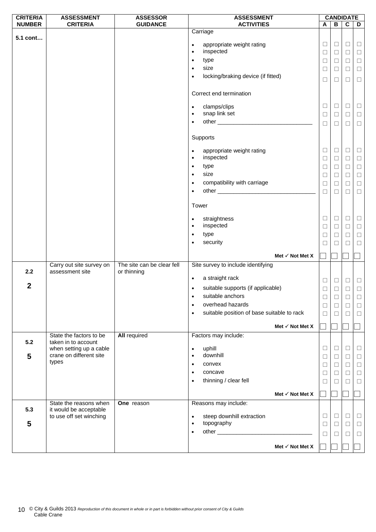| <b>CRITERIA</b>  | <b>ASSESSMENT</b>                              | <b>ASSESSOR</b>                           |                        | <b>ASSESSMENT</b>                          |                  |              | <b>CANDIDATE</b> |                  |
|------------------|------------------------------------------------|-------------------------------------------|------------------------|--------------------------------------------|------------------|--------------|------------------|------------------|
| <b>NUMBER</b>    | <b>CRITERIA</b>                                | <b>GUIDANCE</b>                           |                        | <b>ACTIVITIES</b>                          | A                | В            | C                | D                |
| 5.1 cont         |                                                |                                           |                        | Carriage                                   |                  |              |                  |                  |
|                  |                                                |                                           | $\bullet$              | appropriate weight rating                  | $\Box$           | Ц            | $\Box$           | $\Box$           |
|                  |                                                |                                           | $\bullet$              | inspected                                  | $\Box$           | $\Box$       | $\Box$           | $\Box$           |
|                  |                                                |                                           | $\bullet$              | type                                       | $\Box$           | ⊔            | □                | $\Box$           |
|                  |                                                |                                           | $\bullet$              | size                                       | $\Box$           | □            | $\Box$           | $\Box$           |
|                  |                                                |                                           | $\bullet$              | locking/braking device (if fitted)         | $\Box$           | □            | $\Box$           | $\Box$           |
|                  |                                                |                                           |                        |                                            |                  |              |                  |                  |
|                  |                                                |                                           |                        | Correct end termination                    |                  |              |                  |                  |
|                  |                                                |                                           | $\bullet$              | clamps/clips                               | $\Box$           | Ц            | $\Box$           | $\Box$           |
|                  |                                                |                                           | $\bullet$              | snap link set                              | $\Box$           | $\Box$       | $\Box$           | $\Box$           |
|                  |                                                |                                           | $\bullet$              |                                            | $\Box$           | □            | $\Box$           | $\Box$           |
|                  |                                                |                                           |                        |                                            |                  |              |                  |                  |
|                  |                                                |                                           |                        | Supports                                   |                  |              |                  |                  |
|                  |                                                |                                           |                        |                                            |                  |              |                  |                  |
|                  |                                                |                                           | $\bullet$<br>$\bullet$ | appropriate weight rating<br>inspected     | $\Box$<br>$\Box$ | Ц<br>$\Box$  | □<br>$\Box$      | $\Box$<br>$\Box$ |
|                  |                                                |                                           | $\bullet$              | type                                       | $\Box$           | ⊔            | $\Box$           | $\Box$           |
|                  |                                                |                                           | $\bullet$              | size                                       | $\Box$           | $\Box$       | $\Box$           |                  |
|                  |                                                |                                           | $\bullet$              | compatibility with carriage                | $\Box$           | □            | $\Box$           | $\Box$<br>$\Box$ |
|                  |                                                |                                           | $\bullet$              |                                            | □                | ⊔            | П                | $\Box$           |
|                  |                                                |                                           |                        |                                            |                  |              |                  |                  |
|                  |                                                |                                           | Tower                  |                                            |                  |              |                  |                  |
|                  |                                                |                                           | $\bullet$              | straightness                               | $\Box$           | ⊔            | □                | $\Box$           |
|                  |                                                |                                           | $\bullet$              | inspected                                  | $\Box$           | $\Box$       | $\Box$           | $\Box$           |
|                  |                                                |                                           | $\bullet$              | type                                       | $\Box$           | Ш            | □                | $\Box$           |
|                  |                                                |                                           | $\bullet$              | security                                   | $\Box$           | ⊔            | $\Box$           | $\Box$           |
|                  |                                                |                                           |                        |                                            |                  |              |                  |                  |
|                  |                                                |                                           |                        | Met $\checkmark$ Not Met X                 |                  |              |                  |                  |
| 2.2              | Carry out site survey on<br>assessment site    | The site can be clear fell<br>or thinning |                        | Site survey to include identifying         |                  |              |                  |                  |
|                  |                                                |                                           | $\bullet$              | a straight rack                            | $\Box$           | $\Box$       | $\Box$           | $\Box$           |
| $\boldsymbol{2}$ |                                                |                                           | $\bullet$              | suitable supports (if applicable)          | $\Box$           | $\Box$       | $\Box$           | $\Box$           |
|                  |                                                |                                           |                        | suitable anchors <b>state</b>              | $\Box$           | $\Box$       | $\Box$           | $\Box$           |
|                  |                                                |                                           | $\bullet$              | overhead hazards                           | $\Box$           | □            | $\Box$           | $\Box$           |
|                  |                                                |                                           | ٠                      | suitable position of base suitable to rack | $\Box$           | $\Box$       | $\Box$           | $\Box$           |
|                  |                                                |                                           |                        |                                            |                  |              |                  |                  |
|                  |                                                |                                           |                        | Met $\checkmark$ Not Met X                 |                  |              |                  |                  |
| 5.2              | State the factors to be<br>taken in to account | <b>All required</b>                       |                        | Factors may include:                       |                  |              |                  |                  |
|                  | when setting up a cable                        |                                           | $\bullet$              | uphill                                     | $\Box$           | □            | $\Box$           | $\Box$           |
| 5                | crane on different site                        |                                           | $\bullet$              | downhill                                   | $\Box$           | ⊔            | $\Box$           | $\Box$           |
|                  | types                                          |                                           |                        | convex                                     | □                | □            | $\Box$           | $\Box$           |
|                  |                                                |                                           | $\bullet$              | concave                                    | $\Box$           | ⊔            | $\Box$           | $\Box$           |
|                  |                                                |                                           | $\bullet$              | thinning / clear fell                      | ⊔                | $\mathbf{1}$ | П                | □                |
|                  |                                                |                                           |                        | Met $\checkmark$ Not Met X                 |                  |              |                  |                  |
|                  | State the reasons when                         | One reason                                |                        | Reasons may include:                       |                  |              |                  |                  |
| 5.3              | it would be acceptable                         |                                           |                        |                                            |                  |              |                  |                  |
|                  | to use off set winching                        |                                           | $\bullet$              | steep downhill extraction                  | $\Box$           | $\Box$       | $\Box$           | $\Box$           |
| 5                |                                                |                                           | $\bullet$              | topography                                 | $\Box$           | $\Box$       | $\Box$           | $\Box$           |
|                  |                                                |                                           | $\bullet$              |                                            | □                | ⊔            | □                | $\Box$           |
|                  |                                                |                                           |                        | Met $\checkmark$ Not Met X                 |                  |              |                  |                  |
|                  |                                                |                                           |                        |                                            |                  |              |                  |                  |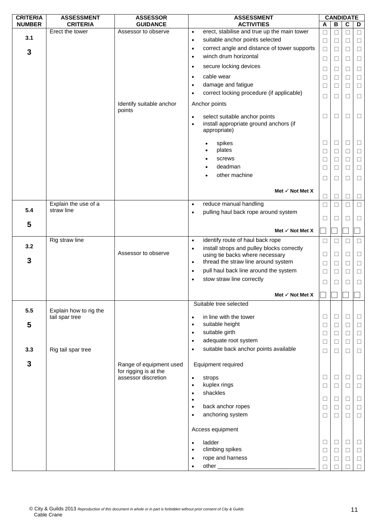| В<br>D<br>erect, stabilise and true up the main tower<br>Erect the tower<br>Assessor to observe<br>$\bullet$<br>□<br>П<br>□<br>⊔<br>3.1<br>suitable anchor points selected<br>$\Box$<br>$\bullet$<br>$\Box$<br>$\Box$<br>П<br>correct angle and distance of tower supports<br>$\Box$<br>$\Box$<br>$\bullet$<br>П<br>$\Box$<br>$\mathbf{3}$<br>winch drum horizontal<br>$\bullet$<br>$\Box$<br>□<br>$\Box$<br>⊔<br>secure locking devices<br>$\bullet$<br>$\Box$<br>$\Box$<br>$\Box$<br>Ш<br>cable wear<br>$\bullet$<br>□<br>□<br>$\Box$<br>$\mathbf{L}$<br>damage and fatigue<br>$\bullet$<br>$\Box$<br>$\Box$<br>$\Box$<br>□<br>correct locking procedure (if applicable)<br>$\bullet$<br>□<br>П<br>$\Box$<br>$\mathbf{L}$<br>Identify suitable anchor<br>Anchor points<br>points<br>select suitable anchor points<br>□<br>□<br>$\Box$<br>⊔<br>$\bullet$<br>install appropriate ground anchors (if<br>$\bullet$<br>appropriate)<br>$\Box$<br>spikes<br>□<br>$\Box$<br>Ш<br>plates<br>$\Box$<br>$\Box$<br>$\Box$<br>□<br>screws<br>□<br>٠<br>□<br>$\Box$<br>$\mathbf{1}$<br>deadman<br>$\Box$<br>$\Box$<br>$\Box$<br>$\bullet$<br>□<br>other machine<br>□<br>□<br>$\Box$<br>$\mathbf{L}$<br>Met $\checkmark$ Not Met X<br>$\Box$<br>$\Box$<br>$\Box$<br>$\mathbf{L}$<br>Explain the use of a<br>reduce manual handling<br>$\Box$<br>$\Box$<br>$\bullet$<br>П<br>$\Box$<br>5.4<br>straw line<br>pulling haul back rope around system<br>$\bullet$<br>□<br>$\Box$<br>$\Box$<br>5<br>Met $\checkmark$ Not Met X<br>Rig straw line<br>identify route of haul back rope<br>$\bullet$<br>$\Box$<br>$\Box$<br>$\Box$<br>3.2<br>install strops and pulley blocks correctly<br>$\bullet$<br>Assessor to observe<br>using tie backs where necessary<br>$\Box$<br>$\Box$<br>$\Box$<br>□<br>3<br>thread the straw line around system<br>$\bullet$<br>$\Box$<br>□<br>$\Box$<br>$\mathbf{1}$<br>pull haul back line around the system<br>$\bullet$<br>$\Box$<br>□<br>$\Box$<br>П<br>stow straw line correctly<br>$\bullet$<br>П<br>П<br>□<br>$\mathbf{1}$<br>Met $\checkmark$ Not Met X<br>Suitable tree selected<br>5.5<br>Explain how to rig the<br>tail spar tree<br>in line with the tower<br>□<br>$\Box$<br>⊔<br>⊔<br>$\bullet$<br>5<br>suitable height<br>$\Box$<br>$\bullet$<br>$\Box$<br>$\Box$<br>□<br>suitable girth<br>$\Box$<br>$\bullet$<br>$\Box$<br>$\Box$<br>□<br>adequate root system<br>$\Box$<br>$\bullet$<br>$\Box$<br>$\Box$<br>$\Box$<br>suitable back anchor points available<br>3.3<br>Rig tail spar tree<br>$\bullet$<br>$\Box$<br>□<br>□<br>⊔<br>$\mathbf{3}$<br>Equipment required<br>Range of equipment used | <b>CRITERIA</b> | <b>ASSESSMENT</b> | <b>ASSESSOR</b>       | <b>ASSESSMENT</b> |   | <b>CANDIDATE</b> |  |
|----------------------------------------------------------------------------------------------------------------------------------------------------------------------------------------------------------------------------------------------------------------------------------------------------------------------------------------------------------------------------------------------------------------------------------------------------------------------------------------------------------------------------------------------------------------------------------------------------------------------------------------------------------------------------------------------------------------------------------------------------------------------------------------------------------------------------------------------------------------------------------------------------------------------------------------------------------------------------------------------------------------------------------------------------------------------------------------------------------------------------------------------------------------------------------------------------------------------------------------------------------------------------------------------------------------------------------------------------------------------------------------------------------------------------------------------------------------------------------------------------------------------------------------------------------------------------------------------------------------------------------------------------------------------------------------------------------------------------------------------------------------------------------------------------------------------------------------------------------------------------------------------------------------------------------------------------------------------------------------------------------------------------------------------------------------------------------------------------------------------------------------------------------------------------------------------------------------------------------------------------------------------------------------------------------------------------------------------------------------------------------------------------------------------------------------------------------------------------------------------------------------------------------------------------------------------------------------------------------------------------|-----------------|-------------------|-----------------------|-------------------|---|------------------|--|
|                                                                                                                                                                                                                                                                                                                                                                                                                                                                                                                                                                                                                                                                                                                                                                                                                                                                                                                                                                                                                                                                                                                                                                                                                                                                                                                                                                                                                                                                                                                                                                                                                                                                                                                                                                                                                                                                                                                                                                                                                                                                                                                                                                                                                                                                                                                                                                                                                                                                                                                                                                                                                            | <b>NUMBER</b>   | <b>CRITERIA</b>   | <b>GUIDANCE</b>       | <b>ACTIVITIES</b> | A | C                |  |
|                                                                                                                                                                                                                                                                                                                                                                                                                                                                                                                                                                                                                                                                                                                                                                                                                                                                                                                                                                                                                                                                                                                                                                                                                                                                                                                                                                                                                                                                                                                                                                                                                                                                                                                                                                                                                                                                                                                                                                                                                                                                                                                                                                                                                                                                                                                                                                                                                                                                                                                                                                                                                            |                 |                   |                       |                   |   |                  |  |
|                                                                                                                                                                                                                                                                                                                                                                                                                                                                                                                                                                                                                                                                                                                                                                                                                                                                                                                                                                                                                                                                                                                                                                                                                                                                                                                                                                                                                                                                                                                                                                                                                                                                                                                                                                                                                                                                                                                                                                                                                                                                                                                                                                                                                                                                                                                                                                                                                                                                                                                                                                                                                            |                 |                   |                       |                   |   |                  |  |
|                                                                                                                                                                                                                                                                                                                                                                                                                                                                                                                                                                                                                                                                                                                                                                                                                                                                                                                                                                                                                                                                                                                                                                                                                                                                                                                                                                                                                                                                                                                                                                                                                                                                                                                                                                                                                                                                                                                                                                                                                                                                                                                                                                                                                                                                                                                                                                                                                                                                                                                                                                                                                            |                 |                   |                       |                   |   |                  |  |
|                                                                                                                                                                                                                                                                                                                                                                                                                                                                                                                                                                                                                                                                                                                                                                                                                                                                                                                                                                                                                                                                                                                                                                                                                                                                                                                                                                                                                                                                                                                                                                                                                                                                                                                                                                                                                                                                                                                                                                                                                                                                                                                                                                                                                                                                                                                                                                                                                                                                                                                                                                                                                            |                 |                   |                       |                   |   |                  |  |
|                                                                                                                                                                                                                                                                                                                                                                                                                                                                                                                                                                                                                                                                                                                                                                                                                                                                                                                                                                                                                                                                                                                                                                                                                                                                                                                                                                                                                                                                                                                                                                                                                                                                                                                                                                                                                                                                                                                                                                                                                                                                                                                                                                                                                                                                                                                                                                                                                                                                                                                                                                                                                            |                 |                   |                       |                   |   |                  |  |
|                                                                                                                                                                                                                                                                                                                                                                                                                                                                                                                                                                                                                                                                                                                                                                                                                                                                                                                                                                                                                                                                                                                                                                                                                                                                                                                                                                                                                                                                                                                                                                                                                                                                                                                                                                                                                                                                                                                                                                                                                                                                                                                                                                                                                                                                                                                                                                                                                                                                                                                                                                                                                            |                 |                   |                       |                   |   |                  |  |
|                                                                                                                                                                                                                                                                                                                                                                                                                                                                                                                                                                                                                                                                                                                                                                                                                                                                                                                                                                                                                                                                                                                                                                                                                                                                                                                                                                                                                                                                                                                                                                                                                                                                                                                                                                                                                                                                                                                                                                                                                                                                                                                                                                                                                                                                                                                                                                                                                                                                                                                                                                                                                            |                 |                   |                       |                   |   |                  |  |
|                                                                                                                                                                                                                                                                                                                                                                                                                                                                                                                                                                                                                                                                                                                                                                                                                                                                                                                                                                                                                                                                                                                                                                                                                                                                                                                                                                                                                                                                                                                                                                                                                                                                                                                                                                                                                                                                                                                                                                                                                                                                                                                                                                                                                                                                                                                                                                                                                                                                                                                                                                                                                            |                 |                   |                       |                   |   |                  |  |
|                                                                                                                                                                                                                                                                                                                                                                                                                                                                                                                                                                                                                                                                                                                                                                                                                                                                                                                                                                                                                                                                                                                                                                                                                                                                                                                                                                                                                                                                                                                                                                                                                                                                                                                                                                                                                                                                                                                                                                                                                                                                                                                                                                                                                                                                                                                                                                                                                                                                                                                                                                                                                            |                 |                   |                       |                   |   |                  |  |
|                                                                                                                                                                                                                                                                                                                                                                                                                                                                                                                                                                                                                                                                                                                                                                                                                                                                                                                                                                                                                                                                                                                                                                                                                                                                                                                                                                                                                                                                                                                                                                                                                                                                                                                                                                                                                                                                                                                                                                                                                                                                                                                                                                                                                                                                                                                                                                                                                                                                                                                                                                                                                            |                 |                   |                       |                   |   |                  |  |
|                                                                                                                                                                                                                                                                                                                                                                                                                                                                                                                                                                                                                                                                                                                                                                                                                                                                                                                                                                                                                                                                                                                                                                                                                                                                                                                                                                                                                                                                                                                                                                                                                                                                                                                                                                                                                                                                                                                                                                                                                                                                                                                                                                                                                                                                                                                                                                                                                                                                                                                                                                                                                            |                 |                   |                       |                   |   |                  |  |
|                                                                                                                                                                                                                                                                                                                                                                                                                                                                                                                                                                                                                                                                                                                                                                                                                                                                                                                                                                                                                                                                                                                                                                                                                                                                                                                                                                                                                                                                                                                                                                                                                                                                                                                                                                                                                                                                                                                                                                                                                                                                                                                                                                                                                                                                                                                                                                                                                                                                                                                                                                                                                            |                 |                   |                       |                   |   |                  |  |
|                                                                                                                                                                                                                                                                                                                                                                                                                                                                                                                                                                                                                                                                                                                                                                                                                                                                                                                                                                                                                                                                                                                                                                                                                                                                                                                                                                                                                                                                                                                                                                                                                                                                                                                                                                                                                                                                                                                                                                                                                                                                                                                                                                                                                                                                                                                                                                                                                                                                                                                                                                                                                            |                 |                   |                       |                   |   |                  |  |
|                                                                                                                                                                                                                                                                                                                                                                                                                                                                                                                                                                                                                                                                                                                                                                                                                                                                                                                                                                                                                                                                                                                                                                                                                                                                                                                                                                                                                                                                                                                                                                                                                                                                                                                                                                                                                                                                                                                                                                                                                                                                                                                                                                                                                                                                                                                                                                                                                                                                                                                                                                                                                            |                 |                   |                       |                   |   |                  |  |
|                                                                                                                                                                                                                                                                                                                                                                                                                                                                                                                                                                                                                                                                                                                                                                                                                                                                                                                                                                                                                                                                                                                                                                                                                                                                                                                                                                                                                                                                                                                                                                                                                                                                                                                                                                                                                                                                                                                                                                                                                                                                                                                                                                                                                                                                                                                                                                                                                                                                                                                                                                                                                            |                 |                   |                       |                   |   |                  |  |
|                                                                                                                                                                                                                                                                                                                                                                                                                                                                                                                                                                                                                                                                                                                                                                                                                                                                                                                                                                                                                                                                                                                                                                                                                                                                                                                                                                                                                                                                                                                                                                                                                                                                                                                                                                                                                                                                                                                                                                                                                                                                                                                                                                                                                                                                                                                                                                                                                                                                                                                                                                                                                            |                 |                   |                       |                   |   |                  |  |
|                                                                                                                                                                                                                                                                                                                                                                                                                                                                                                                                                                                                                                                                                                                                                                                                                                                                                                                                                                                                                                                                                                                                                                                                                                                                                                                                                                                                                                                                                                                                                                                                                                                                                                                                                                                                                                                                                                                                                                                                                                                                                                                                                                                                                                                                                                                                                                                                                                                                                                                                                                                                                            |                 |                   |                       |                   |   |                  |  |
|                                                                                                                                                                                                                                                                                                                                                                                                                                                                                                                                                                                                                                                                                                                                                                                                                                                                                                                                                                                                                                                                                                                                                                                                                                                                                                                                                                                                                                                                                                                                                                                                                                                                                                                                                                                                                                                                                                                                                                                                                                                                                                                                                                                                                                                                                                                                                                                                                                                                                                                                                                                                                            |                 |                   |                       |                   |   |                  |  |
|                                                                                                                                                                                                                                                                                                                                                                                                                                                                                                                                                                                                                                                                                                                                                                                                                                                                                                                                                                                                                                                                                                                                                                                                                                                                                                                                                                                                                                                                                                                                                                                                                                                                                                                                                                                                                                                                                                                                                                                                                                                                                                                                                                                                                                                                                                                                                                                                                                                                                                                                                                                                                            |                 |                   |                       |                   |   |                  |  |
|                                                                                                                                                                                                                                                                                                                                                                                                                                                                                                                                                                                                                                                                                                                                                                                                                                                                                                                                                                                                                                                                                                                                                                                                                                                                                                                                                                                                                                                                                                                                                                                                                                                                                                                                                                                                                                                                                                                                                                                                                                                                                                                                                                                                                                                                                                                                                                                                                                                                                                                                                                                                                            |                 |                   |                       |                   |   |                  |  |
|                                                                                                                                                                                                                                                                                                                                                                                                                                                                                                                                                                                                                                                                                                                                                                                                                                                                                                                                                                                                                                                                                                                                                                                                                                                                                                                                                                                                                                                                                                                                                                                                                                                                                                                                                                                                                                                                                                                                                                                                                                                                                                                                                                                                                                                                                                                                                                                                                                                                                                                                                                                                                            |                 |                   |                       |                   |   |                  |  |
|                                                                                                                                                                                                                                                                                                                                                                                                                                                                                                                                                                                                                                                                                                                                                                                                                                                                                                                                                                                                                                                                                                                                                                                                                                                                                                                                                                                                                                                                                                                                                                                                                                                                                                                                                                                                                                                                                                                                                                                                                                                                                                                                                                                                                                                                                                                                                                                                                                                                                                                                                                                                                            |                 |                   |                       |                   |   |                  |  |
|                                                                                                                                                                                                                                                                                                                                                                                                                                                                                                                                                                                                                                                                                                                                                                                                                                                                                                                                                                                                                                                                                                                                                                                                                                                                                                                                                                                                                                                                                                                                                                                                                                                                                                                                                                                                                                                                                                                                                                                                                                                                                                                                                                                                                                                                                                                                                                                                                                                                                                                                                                                                                            |                 |                   |                       |                   |   |                  |  |
|                                                                                                                                                                                                                                                                                                                                                                                                                                                                                                                                                                                                                                                                                                                                                                                                                                                                                                                                                                                                                                                                                                                                                                                                                                                                                                                                                                                                                                                                                                                                                                                                                                                                                                                                                                                                                                                                                                                                                                                                                                                                                                                                                                                                                                                                                                                                                                                                                                                                                                                                                                                                                            |                 |                   |                       |                   |   |                  |  |
|                                                                                                                                                                                                                                                                                                                                                                                                                                                                                                                                                                                                                                                                                                                                                                                                                                                                                                                                                                                                                                                                                                                                                                                                                                                                                                                                                                                                                                                                                                                                                                                                                                                                                                                                                                                                                                                                                                                                                                                                                                                                                                                                                                                                                                                                                                                                                                                                                                                                                                                                                                                                                            |                 |                   |                       |                   |   |                  |  |
|                                                                                                                                                                                                                                                                                                                                                                                                                                                                                                                                                                                                                                                                                                                                                                                                                                                                                                                                                                                                                                                                                                                                                                                                                                                                                                                                                                                                                                                                                                                                                                                                                                                                                                                                                                                                                                                                                                                                                                                                                                                                                                                                                                                                                                                                                                                                                                                                                                                                                                                                                                                                                            |                 |                   |                       |                   |   |                  |  |
|                                                                                                                                                                                                                                                                                                                                                                                                                                                                                                                                                                                                                                                                                                                                                                                                                                                                                                                                                                                                                                                                                                                                                                                                                                                                                                                                                                                                                                                                                                                                                                                                                                                                                                                                                                                                                                                                                                                                                                                                                                                                                                                                                                                                                                                                                                                                                                                                                                                                                                                                                                                                                            |                 |                   |                       |                   |   |                  |  |
|                                                                                                                                                                                                                                                                                                                                                                                                                                                                                                                                                                                                                                                                                                                                                                                                                                                                                                                                                                                                                                                                                                                                                                                                                                                                                                                                                                                                                                                                                                                                                                                                                                                                                                                                                                                                                                                                                                                                                                                                                                                                                                                                                                                                                                                                                                                                                                                                                                                                                                                                                                                                                            |                 |                   |                       |                   |   |                  |  |
|                                                                                                                                                                                                                                                                                                                                                                                                                                                                                                                                                                                                                                                                                                                                                                                                                                                                                                                                                                                                                                                                                                                                                                                                                                                                                                                                                                                                                                                                                                                                                                                                                                                                                                                                                                                                                                                                                                                                                                                                                                                                                                                                                                                                                                                                                                                                                                                                                                                                                                                                                                                                                            |                 |                   |                       |                   |   |                  |  |
|                                                                                                                                                                                                                                                                                                                                                                                                                                                                                                                                                                                                                                                                                                                                                                                                                                                                                                                                                                                                                                                                                                                                                                                                                                                                                                                                                                                                                                                                                                                                                                                                                                                                                                                                                                                                                                                                                                                                                                                                                                                                                                                                                                                                                                                                                                                                                                                                                                                                                                                                                                                                                            |                 |                   |                       |                   |   |                  |  |
|                                                                                                                                                                                                                                                                                                                                                                                                                                                                                                                                                                                                                                                                                                                                                                                                                                                                                                                                                                                                                                                                                                                                                                                                                                                                                                                                                                                                                                                                                                                                                                                                                                                                                                                                                                                                                                                                                                                                                                                                                                                                                                                                                                                                                                                                                                                                                                                                                                                                                                                                                                                                                            |                 |                   |                       |                   |   |                  |  |
|                                                                                                                                                                                                                                                                                                                                                                                                                                                                                                                                                                                                                                                                                                                                                                                                                                                                                                                                                                                                                                                                                                                                                                                                                                                                                                                                                                                                                                                                                                                                                                                                                                                                                                                                                                                                                                                                                                                                                                                                                                                                                                                                                                                                                                                                                                                                                                                                                                                                                                                                                                                                                            |                 |                   |                       |                   |   |                  |  |
|                                                                                                                                                                                                                                                                                                                                                                                                                                                                                                                                                                                                                                                                                                                                                                                                                                                                                                                                                                                                                                                                                                                                                                                                                                                                                                                                                                                                                                                                                                                                                                                                                                                                                                                                                                                                                                                                                                                                                                                                                                                                                                                                                                                                                                                                                                                                                                                                                                                                                                                                                                                                                            |                 |                   |                       |                   |   |                  |  |
|                                                                                                                                                                                                                                                                                                                                                                                                                                                                                                                                                                                                                                                                                                                                                                                                                                                                                                                                                                                                                                                                                                                                                                                                                                                                                                                                                                                                                                                                                                                                                                                                                                                                                                                                                                                                                                                                                                                                                                                                                                                                                                                                                                                                                                                                                                                                                                                                                                                                                                                                                                                                                            |                 |                   |                       |                   |   |                  |  |
|                                                                                                                                                                                                                                                                                                                                                                                                                                                                                                                                                                                                                                                                                                                                                                                                                                                                                                                                                                                                                                                                                                                                                                                                                                                                                                                                                                                                                                                                                                                                                                                                                                                                                                                                                                                                                                                                                                                                                                                                                                                                                                                                                                                                                                                                                                                                                                                                                                                                                                                                                                                                                            |                 |                   |                       |                   |   |                  |  |
|                                                                                                                                                                                                                                                                                                                                                                                                                                                                                                                                                                                                                                                                                                                                                                                                                                                                                                                                                                                                                                                                                                                                                                                                                                                                                                                                                                                                                                                                                                                                                                                                                                                                                                                                                                                                                                                                                                                                                                                                                                                                                                                                                                                                                                                                                                                                                                                                                                                                                                                                                                                                                            |                 |                   |                       |                   |   |                  |  |
|                                                                                                                                                                                                                                                                                                                                                                                                                                                                                                                                                                                                                                                                                                                                                                                                                                                                                                                                                                                                                                                                                                                                                                                                                                                                                                                                                                                                                                                                                                                                                                                                                                                                                                                                                                                                                                                                                                                                                                                                                                                                                                                                                                                                                                                                                                                                                                                                                                                                                                                                                                                                                            |                 |                   |                       |                   |   |                  |  |
|                                                                                                                                                                                                                                                                                                                                                                                                                                                                                                                                                                                                                                                                                                                                                                                                                                                                                                                                                                                                                                                                                                                                                                                                                                                                                                                                                                                                                                                                                                                                                                                                                                                                                                                                                                                                                                                                                                                                                                                                                                                                                                                                                                                                                                                                                                                                                                                                                                                                                                                                                                                                                            |                 |                   |                       |                   |   |                  |  |
|                                                                                                                                                                                                                                                                                                                                                                                                                                                                                                                                                                                                                                                                                                                                                                                                                                                                                                                                                                                                                                                                                                                                                                                                                                                                                                                                                                                                                                                                                                                                                                                                                                                                                                                                                                                                                                                                                                                                                                                                                                                                                                                                                                                                                                                                                                                                                                                                                                                                                                                                                                                                                            |                 |                   |                       |                   |   |                  |  |
|                                                                                                                                                                                                                                                                                                                                                                                                                                                                                                                                                                                                                                                                                                                                                                                                                                                                                                                                                                                                                                                                                                                                                                                                                                                                                                                                                                                                                                                                                                                                                                                                                                                                                                                                                                                                                                                                                                                                                                                                                                                                                                                                                                                                                                                                                                                                                                                                                                                                                                                                                                                                                            |                 |                   |                       |                   |   |                  |  |
|                                                                                                                                                                                                                                                                                                                                                                                                                                                                                                                                                                                                                                                                                                                                                                                                                                                                                                                                                                                                                                                                                                                                                                                                                                                                                                                                                                                                                                                                                                                                                                                                                                                                                                                                                                                                                                                                                                                                                                                                                                                                                                                                                                                                                                                                                                                                                                                                                                                                                                                                                                                                                            |                 |                   |                       |                   |   |                  |  |
|                                                                                                                                                                                                                                                                                                                                                                                                                                                                                                                                                                                                                                                                                                                                                                                                                                                                                                                                                                                                                                                                                                                                                                                                                                                                                                                                                                                                                                                                                                                                                                                                                                                                                                                                                                                                                                                                                                                                                                                                                                                                                                                                                                                                                                                                                                                                                                                                                                                                                                                                                                                                                            |                 |                   |                       |                   |   |                  |  |
|                                                                                                                                                                                                                                                                                                                                                                                                                                                                                                                                                                                                                                                                                                                                                                                                                                                                                                                                                                                                                                                                                                                                                                                                                                                                                                                                                                                                                                                                                                                                                                                                                                                                                                                                                                                                                                                                                                                                                                                                                                                                                                                                                                                                                                                                                                                                                                                                                                                                                                                                                                                                                            |                 |                   | for rigging is at the |                   |   |                  |  |
| assessor discretion<br>strops<br>□<br>⊔<br>⊔<br>$\bullet$<br>⊔                                                                                                                                                                                                                                                                                                                                                                                                                                                                                                                                                                                                                                                                                                                                                                                                                                                                                                                                                                                                                                                                                                                                                                                                                                                                                                                                                                                                                                                                                                                                                                                                                                                                                                                                                                                                                                                                                                                                                                                                                                                                                                                                                                                                                                                                                                                                                                                                                                                                                                                                                             |                 |                   |                       |                   |   |                  |  |
| kuplex rings<br>$\Box$<br>$\bullet$<br>$\Box$<br>$\Box$<br>$\Box$                                                                                                                                                                                                                                                                                                                                                                                                                                                                                                                                                                                                                                                                                                                                                                                                                                                                                                                                                                                                                                                                                                                                                                                                                                                                                                                                                                                                                                                                                                                                                                                                                                                                                                                                                                                                                                                                                                                                                                                                                                                                                                                                                                                                                                                                                                                                                                                                                                                                                                                                                          |                 |                   |                       |                   |   |                  |  |
| shackles<br>$\bullet$<br>$\Box$<br>$\Box$<br>$\Box$<br>□                                                                                                                                                                                                                                                                                                                                                                                                                                                                                                                                                                                                                                                                                                                                                                                                                                                                                                                                                                                                                                                                                                                                                                                                                                                                                                                                                                                                                                                                                                                                                                                                                                                                                                                                                                                                                                                                                                                                                                                                                                                                                                                                                                                                                                                                                                                                                                                                                                                                                                                                                                   |                 |                   |                       |                   |   |                  |  |
| ٠<br>back anchor ropes<br>$\bullet$<br>$\Box$<br>$\Box$<br>□<br>⊔                                                                                                                                                                                                                                                                                                                                                                                                                                                                                                                                                                                                                                                                                                                                                                                                                                                                                                                                                                                                                                                                                                                                                                                                                                                                                                                                                                                                                                                                                                                                                                                                                                                                                                                                                                                                                                                                                                                                                                                                                                                                                                                                                                                                                                                                                                                                                                                                                                                                                                                                                          |                 |                   |                       |                   |   |                  |  |
| anchoring system<br>$\Box$<br>$\Box$<br>$\Box$<br>$\bullet$<br>П                                                                                                                                                                                                                                                                                                                                                                                                                                                                                                                                                                                                                                                                                                                                                                                                                                                                                                                                                                                                                                                                                                                                                                                                                                                                                                                                                                                                                                                                                                                                                                                                                                                                                                                                                                                                                                                                                                                                                                                                                                                                                                                                                                                                                                                                                                                                                                                                                                                                                                                                                           |                 |                   |                       |                   |   |                  |  |
|                                                                                                                                                                                                                                                                                                                                                                                                                                                                                                                                                                                                                                                                                                                                                                                                                                                                                                                                                                                                                                                                                                                                                                                                                                                                                                                                                                                                                                                                                                                                                                                                                                                                                                                                                                                                                                                                                                                                                                                                                                                                                                                                                                                                                                                                                                                                                                                                                                                                                                                                                                                                                            |                 |                   |                       |                   |   |                  |  |
| Access equipment                                                                                                                                                                                                                                                                                                                                                                                                                                                                                                                                                                                                                                                                                                                                                                                                                                                                                                                                                                                                                                                                                                                                                                                                                                                                                                                                                                                                                                                                                                                                                                                                                                                                                                                                                                                                                                                                                                                                                                                                                                                                                                                                                                                                                                                                                                                                                                                                                                                                                                                                                                                                           |                 |                   |                       |                   |   |                  |  |
| $\Box$<br>ladder<br>$\Box$<br>□<br>$\Box$<br>$\bullet$                                                                                                                                                                                                                                                                                                                                                                                                                                                                                                                                                                                                                                                                                                                                                                                                                                                                                                                                                                                                                                                                                                                                                                                                                                                                                                                                                                                                                                                                                                                                                                                                                                                                                                                                                                                                                                                                                                                                                                                                                                                                                                                                                                                                                                                                                                                                                                                                                                                                                                                                                                     |                 |                   |                       |                   |   |                  |  |
| climbing spikes<br>$\Box$<br>$\Box$<br>$\bullet$<br>□<br>$\Box$                                                                                                                                                                                                                                                                                                                                                                                                                                                                                                                                                                                                                                                                                                                                                                                                                                                                                                                                                                                                                                                                                                                                                                                                                                                                                                                                                                                                                                                                                                                                                                                                                                                                                                                                                                                                                                                                                                                                                                                                                                                                                                                                                                                                                                                                                                                                                                                                                                                                                                                                                            |                 |                   |                       |                   |   |                  |  |
| rope and harness<br>$\bullet$<br>□<br>□<br>$\Box$                                                                                                                                                                                                                                                                                                                                                                                                                                                                                                                                                                                                                                                                                                                                                                                                                                                                                                                                                                                                                                                                                                                                                                                                                                                                                                                                                                                                                                                                                                                                                                                                                                                                                                                                                                                                                                                                                                                                                                                                                                                                                                                                                                                                                                                                                                                                                                                                                                                                                                                                                                          |                 |                   |                       |                   |   |                  |  |
| $\bullet$<br>$\Box$<br>П                                                                                                                                                                                                                                                                                                                                                                                                                                                                                                                                                                                                                                                                                                                                                                                                                                                                                                                                                                                                                                                                                                                                                                                                                                                                                                                                                                                                                                                                                                                                                                                                                                                                                                                                                                                                                                                                                                                                                                                                                                                                                                                                                                                                                                                                                                                                                                                                                                                                                                                                                                                                   |                 |                   |                       |                   |   |                  |  |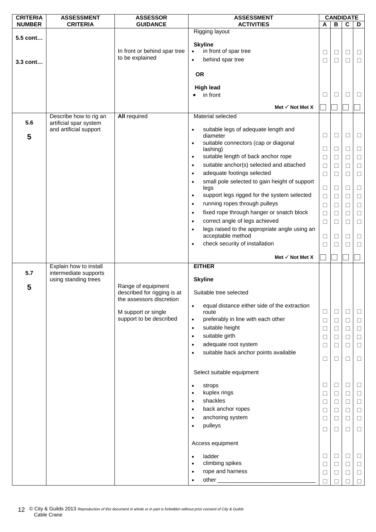| <b>CRITERIA</b> | <b>ASSESSMENT</b>                                | <b>ASSESSOR</b>                                         | <b>ASSESSMENT</b>                                                                                                  |             |                  | <b>CANDIDATE</b> |                  |
|-----------------|--------------------------------------------------|---------------------------------------------------------|--------------------------------------------------------------------------------------------------------------------|-------------|------------------|------------------|------------------|
| <b>NUMBER</b>   | <b>CRITERIA</b>                                  | <b>GUIDANCE</b>                                         | <b>ACTIVITIES</b>                                                                                                  | A           | В                | $\mathbf c$      | D                |
| 5.5 cont        |                                                  | In front or behind spar tree<br>to be explained         | Rigging layout<br><b>Skyline</b><br>in front of spar tree<br>$\bullet$<br>behind spar tree<br>$\bullet$            | $\Box$<br>□ | $\Box$<br>$\Box$ | $\Box$<br>П      | $\Box$<br>$\Box$ |
| 3.3 cont…       |                                                  |                                                         | <b>OR</b><br><b>High lead</b>                                                                                      |             |                  |                  |                  |
|                 |                                                  |                                                         | in front                                                                                                           | Ш           | □                | $\mathsf{L}$     | ⊔                |
|                 |                                                  |                                                         | Met $\checkmark$ Not Met X                                                                                         |             |                  |                  |                  |
|                 | Describe how to rig an                           | <b>All required</b>                                     | Material selected                                                                                                  |             |                  |                  |                  |
| 5.6<br>5        | artificial spar system<br>and artificial support |                                                         | suitable legs of adequate length and<br>$\bullet$<br>diameter<br>suitable connectors (cap or diagonal<br>$\bullet$ | $\Box$      | $\Box$           | $\Box$           | $\Box$           |
|                 |                                                  |                                                         | lashing)                                                                                                           | $\Box$      | $\Box$           | □                | $\Box$           |
|                 |                                                  |                                                         | suitable length of back anchor rope<br>$\bullet$                                                                   | $\Box$      | $\Box$           | □                | $\Box$           |
|                 |                                                  |                                                         | suitable anchor(s) selected and attached<br>$\bullet$                                                              | $\Box$      | $\Box$           | □                | $\Box$           |
|                 |                                                  |                                                         | adequate footings selected<br>$\bullet$                                                                            | Ц           | $\Box$           | $\Box$           | $\Box$           |
|                 |                                                  |                                                         | small pole selected to gain height of support<br>$\bullet$<br>legs                                                 | $\Box$      | $\Box$           | □                | $\Box$           |
|                 |                                                  |                                                         | support legs rigged for the system selected<br>$\bullet$                                                           | $\Box$      | $\Box$           | П                | $\Box$           |
|                 |                                                  |                                                         | running ropes through pulleys<br>$\bullet$                                                                         | $\Box$      | $\Box$           | □                | $\Box$           |
|                 |                                                  |                                                         | fixed rope through hanger or snatch block<br>$\bullet$                                                             | $\Box$      | $\Box$           | □                | $\Box$           |
|                 |                                                  |                                                         | correct angle of legs achieved<br>$\bullet$                                                                        | $\Box$      | □                | ⊔                | $\Box$           |
|                 |                                                  |                                                         | legs raised to the appropriate angle using an<br>$\bullet$<br>acceptable method                                    | □           | □                | ⊔                | □                |
|                 |                                                  |                                                         | check security of installation<br>$\bullet$                                                                        | $\Box$      | $\Box$           | П                | $\Box$           |
|                 |                                                  |                                                         |                                                                                                                    |             |                  |                  |                  |
|                 |                                                  |                                                         | Met $\checkmark$ Not Met X                                                                                         |             |                  |                  |                  |
|                 | Explain how to install                           |                                                         | <b>EITHER</b>                                                                                                      |             |                  |                  |                  |
| 5.7             | intermediate supports<br>using standing trees    | Range of equipment                                      | <b>Skyline</b>                                                                                                     |             |                  |                  |                  |
| 5               |                                                  | described for rigging is at<br>the assessors discretion | Suitable tree selected                                                                                             |             |                  |                  |                  |
|                 |                                                  | M support or single                                     | equal distance either side of the extraction<br>$\bullet$<br>route                                                 | $\Box$      | $\Box$           | $\Box$           | $\Box$           |
|                 |                                                  | support to be described                                 | preferably in line with each other<br>$\bullet$                                                                    | $\Box$      | $\Box$           | □                | $\Box$           |
|                 |                                                  |                                                         | suitable height<br>$\bullet$                                                                                       | $\Box$      | $\Box$           | $\Box$           | $\Box$           |
|                 |                                                  |                                                         | suitable girth<br>$\bullet$                                                                                        | $\Box$      | $\Box$           | □                | $\Box$           |
|                 |                                                  |                                                         | adequate root system<br>$\bullet$                                                                                  | $\Box$      | $\Box$           | □                | $\Box$           |
|                 |                                                  |                                                         | suitable back anchor points available<br>٠                                                                         | $\Box$      | $\Box$           | $\Box$           | $\Box$           |
|                 |                                                  |                                                         | Select suitable equipment                                                                                          |             |                  |                  |                  |
|                 |                                                  |                                                         |                                                                                                                    |             |                  |                  |                  |
|                 |                                                  |                                                         | strops                                                                                                             | $\Box$      | $\Box$           | $\Box$           | $\Box$           |
|                 |                                                  |                                                         | kuplex rings<br>$\bullet$                                                                                          | $\Box$      | $\Box$           | $\Box$           | $\Box$           |
|                 |                                                  |                                                         | shackles<br>$\bullet$<br>$\bullet$                                                                                 | Ц           | $\Box$           | $\Box$           | $\Box$           |
|                 |                                                  |                                                         | back anchor ropes<br>$\bullet$                                                                                     | $\Box$      | $\Box$           | $\Box$           | $\Box$           |
|                 |                                                  |                                                         | anchoring system<br>$\bullet$                                                                                      | $\Box$      | $\Box$           | □                | $\Box$           |
|                 |                                                  |                                                         | pulleys                                                                                                            | $\Box$      | $\Box$           | $\Box$           | $\Box$           |
|                 |                                                  |                                                         | Access equipment                                                                                                   |             |                  |                  |                  |
|                 |                                                  |                                                         | ladder<br>$\bullet$                                                                                                | □           | $\Box$           | $\Box$           | $\Box$           |
|                 |                                                  |                                                         | climbing spikes<br>$\bullet$                                                                                       | □           | $\Box$           | $\Box$           | $\Box$           |
|                 |                                                  |                                                         | rope and harness<br>$\bullet$<br>$\bullet$                                                                         | $\Box$      | $\Box$           | $\Box$           | $\Box$<br>$\Box$ |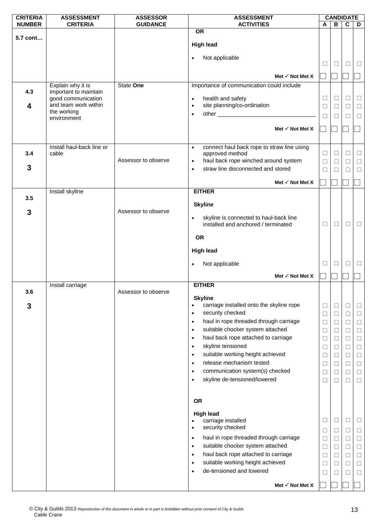| <b>CRITERIA</b> | <b>ASSESSMENT</b>          | <b>ASSESSOR</b>     | <b>ASSESSMENT</b>                                                                    |        | <b>CANDIDATE</b> |                         |        |
|-----------------|----------------------------|---------------------|--------------------------------------------------------------------------------------|--------|------------------|-------------------------|--------|
| <b>NUMBER</b>   | <b>CRITERIA</b>            | <b>GUIDANCE</b>     | <b>ACTIVITIES</b>                                                                    | A      | В                | $\overline{\mathbf{c}}$ | D      |
| 5.7 cont        |                            |                     | <b>OR</b>                                                                            |        |                  |                         |        |
|                 |                            |                     | <b>High lead</b>                                                                     |        |                  |                         |        |
|                 |                            |                     |                                                                                      |        |                  |                         |        |
|                 |                            |                     | Not applicable<br>$\bullet$                                                          |        |                  |                         |        |
|                 |                            |                     |                                                                                      | ⊔      | ⊔                | ⊔                       | ⊔      |
|                 |                            |                     | Met $\checkmark$ Not Met X                                                           |        |                  |                         |        |
|                 | Explain why it is          | State One           | Importance of communication could include                                            |        |                  |                         |        |
| 4.3             | important to maintain      |                     |                                                                                      |        |                  |                         |        |
|                 | good communication         |                     | health and safety<br>$\bullet$                                                       | ⊔      | $\Box$           | □                       | $\Box$ |
| 4               | and team work within       |                     | site planning/co-ordination<br>$\bullet$                                             | $\Box$ | $\Box$           | $\Box$                  | $\Box$ |
|                 | the working<br>environment |                     | $\bullet$                                                                            | П      | $\Box$           | $\Box$                  | $\Box$ |
|                 |                            |                     |                                                                                      |        |                  |                         |        |
|                 |                            |                     | Met $\checkmark$ Not Met X                                                           |        |                  |                         |        |
|                 |                            |                     |                                                                                      |        |                  |                         |        |
|                 | Install haul-back line or  |                     | connect haul back rope to straw line using<br>$\bullet$                              |        |                  |                         |        |
| 3.4             | cable                      | Assessor to observe | approved method<br>haul back rope winched around system                              | □      | $\Box$           | $\Box$                  | $\Box$ |
| 3               |                            |                     | $\bullet$<br>straw line disconnected and stored                                      | $\Box$ | $\Box$           | $\Box$                  | $\Box$ |
|                 |                            |                     | $\bullet$                                                                            | □      | П                | □                       | $\Box$ |
|                 |                            |                     | Met $\checkmark$ Not Met X                                                           |        |                  |                         |        |
|                 | Install skyline            |                     | <b>EITHER</b>                                                                        |        |                  |                         |        |
| 3.5             |                            |                     |                                                                                      |        |                  |                         |        |
|                 |                            |                     | <b>Skyline</b>                                                                       |        |                  |                         |        |
| 3               |                            | Assessor to observe | skyline is connected to haul-back line<br>$\bullet$                                  |        |                  |                         |        |
|                 |                            |                     | installed and anchored / terminated                                                  | $\Box$ | $\Box$           | $\Box$                  | $\Box$ |
|                 |                            |                     |                                                                                      |        |                  |                         |        |
|                 |                            |                     | <b>OR</b>                                                                            |        |                  |                         |        |
|                 |                            |                     | <b>High lead</b>                                                                     |        |                  |                         |        |
|                 |                            |                     |                                                                                      |        |                  |                         |        |
|                 |                            |                     | Not applicable<br>$\bullet$                                                          | $\Box$ | $\Box$           | □                       | $\Box$ |
|                 |                            |                     | Met $\checkmark$ Not Met X                                                           |        |                  |                         |        |
|                 | Install carriage           |                     | <b>EITHER</b>                                                                        |        |                  |                         |        |
| 3.6             |                            | Assessor to observe |                                                                                      |        |                  |                         |        |
|                 |                            |                     | <b>Skyline</b>                                                                       |        |                  |                         |        |
| 3               |                            |                     | carriage installed onto the skyline rope<br>٠<br>security checked                    | $\Box$ | $\Box$           | □                       | □      |
|                 |                            |                     | $\bullet$<br>haul in rope threaded through carriage                                  | ⊔      | $\Box$           | □                       | $\Box$ |
|                 |                            |                     | $\bullet$                                                                            | $\Box$ | $\Box$           | $\Box$                  | $\Box$ |
|                 |                            |                     | suitable chocker system attached<br>$\bullet$<br>haul back rope attached to carriage | $\Box$ | $\Box$           | □                       | $\Box$ |
|                 |                            |                     | $\bullet$                                                                            | $\Box$ | □                | $\Box$                  | $\Box$ |
|                 |                            |                     | skyline tensioned<br>$\bullet$                                                       | $\Box$ | $\Box$           | $\Box$                  | $\Box$ |
|                 |                            |                     | suitable working height achieved<br>$\bullet$<br>release mechanism tested            | $\Box$ | $\Box$           | □                       | $\Box$ |
|                 |                            |                     | $\bullet$                                                                            | $\Box$ | $\Box$           | $\Box$                  | $\Box$ |
|                 |                            |                     | communication system(s) checked<br>$\bullet$                                         | $\Box$ | □                | □                       | □      |
|                 |                            |                     | skyline de-tensioned/lowered<br>$\bullet$                                            | $\Box$ | $\Box$           | $\Box$                  | $\Box$ |
|                 |                            |                     |                                                                                      |        |                  |                         |        |
|                 |                            |                     | OR                                                                                   |        |                  |                         |        |
|                 |                            |                     |                                                                                      |        |                  |                         |        |
|                 |                            |                     | <b>High lead</b><br>carriage installed                                               | ⊔      | $\Box$           | ⊔                       | Ц      |
|                 |                            |                     | security checked<br>$\bullet$                                                        |        |                  |                         |        |
|                 |                            |                     | haul in rope threaded through carriage<br>$\bullet$                                  | $\Box$ | $\Box$           | $\Box$                  | $\Box$ |
|                 |                            |                     | suitable chocker system attached                                                     | □      | $\Box$           | □                       | $\Box$ |
|                 |                            |                     | ٠<br>haul back rope attached to carriage<br>$\bullet$                                | $\Box$ | $\Box$           | $\Box$                  | $\Box$ |
|                 |                            |                     | suitable working height achieved<br>$\bullet$                                        | $\Box$ | □                | □                       | $\Box$ |
|                 |                            |                     | de-tensioned and lowered<br>$\bullet$                                                | □      | ⊔                | $\Box$                  | $\Box$ |
|                 |                            |                     |                                                                                      | ⊔      | ⊔                | ⊔                       | $\Box$ |
|                 |                            |                     | Met $\checkmark$ Not Met X                                                           |        |                  |                         |        |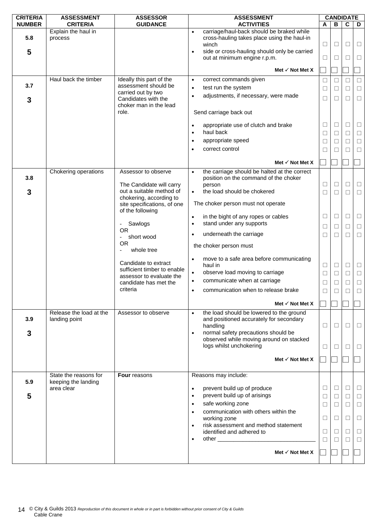| <b>CRITERIA</b> | <b>ASSESSMENT</b>                            | <b>ASSESSOR</b>                                     | <b>ASSESSMENT</b>                                                                                                                                                           |             |        | <b>CANDIDATE</b> |                  |
|-----------------|----------------------------------------------|-----------------------------------------------------|-----------------------------------------------------------------------------------------------------------------------------------------------------------------------------|-------------|--------|------------------|------------------|
| <b>NUMBER</b>   | <b>CRITERIA</b>                              | <b>GUIDANCE</b>                                     | <b>ACTIVITIES</b>                                                                                                                                                           | A           | в      | C                | D                |
| 5.8<br>5        | Explain the haul in<br>process               |                                                     | carriage/haul-back should be braked while<br>$\bullet$<br>cross-hauling takes place using the haul-in<br>winch<br>side or cross-hauling should only be carried<br>$\bullet$ | $\Box$      | □      | □                | $\Box$           |
|                 |                                              |                                                     | out at minimum engine r.p.m.                                                                                                                                                | $\Box$      | ⊔      | П                | Ш                |
|                 |                                              |                                                     | Met $\checkmark$ Not Met X                                                                                                                                                  |             |        |                  |                  |
| 3.7             | Haul back the timber                         | Ideally this part of the<br>assessment should be    | correct commands given<br>$\bullet$                                                                                                                                         | $\Box$      | □      | □                | $\Box$           |
|                 |                                              | carried out by two                                  | test run the system<br>$\bullet$                                                                                                                                            | $\Box$      | □      | $\Box$           | $\Box$           |
| 3               |                                              | Candidates with the<br>choker man in the lead       | adjustments, if necessary, were made<br>$\bullet$                                                                                                                           | $\Box$      | ⊔      | □                | $\Box$           |
|                 |                                              | role.                                               | Send carriage back out                                                                                                                                                      |             |        |                  |                  |
|                 |                                              |                                                     | appropriate use of clutch and brake<br>$\bullet$<br>haul back<br>$\bullet$                                                                                                  | $\Box$<br>□ | □<br>□ | $\Box$<br>$\Box$ | $\Box$<br>$\Box$ |
|                 |                                              |                                                     | appropriate speed<br>$\bullet$                                                                                                                                              | $\Box$      | ⊔      | □                | Ц                |
|                 |                                              |                                                     | correct control<br>$\bullet$                                                                                                                                                | □           | П      | □                | $\Box$           |
|                 |                                              |                                                     | Met $\checkmark$ Not Met X                                                                                                                                                  |             |        |                  |                  |
|                 | Chokering operations                         | Assessor to observe                                 | the carriage should be halted at the correct<br>$\bullet$                                                                                                                   |             |        |                  |                  |
| 3.8             |                                              |                                                     | position on the command of the choker                                                                                                                                       |             |        |                  |                  |
|                 |                                              | The Candidate will carry                            | person                                                                                                                                                                      | $\Box$      | □      | $\Box$           | $\Box$           |
| 3               |                                              | out a suitable method of<br>chokering, according to | the load should be chokered<br>$\bullet$                                                                                                                                    | □           | П      | П                | $\Box$           |
|                 |                                              | site specifications, of one<br>of the following     | The choker person must not operate                                                                                                                                          |             |        |                  |                  |
|                 |                                              |                                                     | in the bight of any ropes or cables<br>$\bullet$<br>stand under any supports                                                                                                | $\Box$      | $\Box$ | $\Box$           | $\Box$           |
|                 |                                              | Sawlogs<br>$\overline{\phantom{0}}$<br><b>OR</b>    | $\bullet$                                                                                                                                                                   | □           | ⊔      | □                | $\Box$           |
|                 |                                              | short wood<br>$\overline{\phantom{0}}$              | underneath the carriage<br>$\bullet$                                                                                                                                        | □           | □      | □                | $\Box$           |
|                 |                                              | <b>OR</b><br>whole tree                             | the choker person must                                                                                                                                                      |             |        |                  |                  |
|                 |                                              | Candidate to extract                                | move to a safe area before communicating<br>$\bullet$<br>haul in                                                                                                            | $\Box$      | $\Box$ | $\Box$           | $\Box$           |
|                 |                                              | sufficient timber to enable                         | observe load moving to carriage<br>$\bullet$                                                                                                                                | $\Box$      | $\Box$ | $\Box$           | $\Box$           |
|                 |                                              | assessor to evaluate the<br>candidate has met the   | communicate when at carriage<br>$\bullet$                                                                                                                                   | $\Box$      | □      | $\Box$           | $\Box$           |
|                 |                                              | criteria                                            | communication when to release brake<br>$\bullet$                                                                                                                            | $\Box$      | П      | □                | $\Box$           |
|                 |                                              |                                                     | Met $\checkmark$ Not Met X                                                                                                                                                  |             |        |                  |                  |
|                 | Release the load at the                      | Assessor to observe                                 | the load should be lowered to the ground<br>$\bullet$                                                                                                                       |             |        |                  |                  |
| 3.9             | landing point                                |                                                     | and positioned accurately for secondary<br>handling                                                                                                                         | $\Box$      | $\Box$ | □                | $\Box$           |
| 3               |                                              |                                                     | normal safety precautions should be<br>$\bullet$                                                                                                                            |             |        |                  |                  |
|                 |                                              |                                                     | observed while moving around on stacked<br>logs whilst unchokering                                                                                                          | $\Box$      | □      | □                | $\Box$           |
|                 |                                              |                                                     | Met $\checkmark$ Not Met X                                                                                                                                                  |             |        |                  |                  |
|                 |                                              |                                                     |                                                                                                                                                                             |             |        |                  |                  |
| 5.9             | State the reasons for<br>keeping the landing | Four reasons                                        | Reasons may include:                                                                                                                                                        |             |        |                  |                  |
|                 | area clear                                   |                                                     | prevent build up of produce<br>$\bullet$                                                                                                                                    | $\Box$      | $\Box$ | □                | $\Box$           |
| 5               |                                              |                                                     | prevent build up of arisings<br>$\bullet$                                                                                                                                   | $\Box$      | $\Box$ | $\Box$           | $\Box$           |
|                 |                                              |                                                     | safe working zone<br>$\bullet$                                                                                                                                              | $\Box$      | $\Box$ | □                | $\Box$           |
|                 |                                              |                                                     | communication with others within the<br>$\bullet$<br>working zone                                                                                                           | $\Box$      | □      | □                | $\Box$           |
|                 |                                              |                                                     | risk assessment and method statement<br>$\bullet$                                                                                                                           |             |        |                  |                  |
|                 |                                              |                                                     | identified and adhered to<br>$\bullet$                                                                                                                                      | □<br>П      | ⊔<br>П | ⊔<br>$\Box$      | ⊔<br>$\Box$      |
|                 |                                              |                                                     |                                                                                                                                                                             |             |        |                  |                  |
|                 |                                              |                                                     | Met $\checkmark$ Not Met X                                                                                                                                                  |             |        |                  |                  |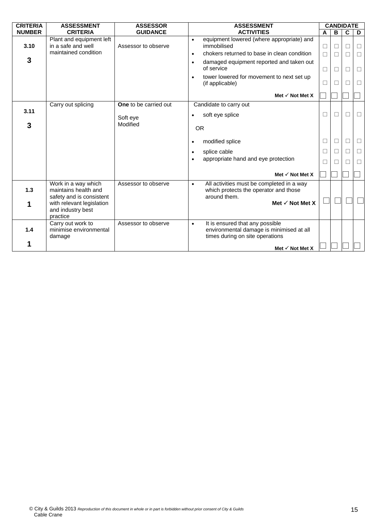| <b>CRITERIA</b> | <b>ASSESSMENT</b>                                                      | <b>ASSESSOR</b>              | <b>ASSESSMENT</b>                                                                                                    | <b>CANDIDATE</b> |        |                |        |
|-----------------|------------------------------------------------------------------------|------------------------------|----------------------------------------------------------------------------------------------------------------------|------------------|--------|----------------|--------|
| <b>NUMBER</b>   | <b>CRITERIA</b>                                                        | <b>GUIDANCE</b>              | <b>ACTIVITIES</b>                                                                                                    | A                | B      | C              | D      |
| 3.10            | Plant and equipment left<br>in a safe and well<br>maintained condition | Assessor to observe          | equipment lowered (where appropriate) and<br>$\bullet$<br>immobilised<br>chokers returned to base in clean condition | □                | □      | ⊔              | $\Box$ |
| 3               |                                                                        |                              | $\bullet$                                                                                                            | П                | $\Box$ | П              | $\Box$ |
|                 |                                                                        |                              | damaged equipment reported and taken out<br>$\bullet$<br>of service                                                  | □                | □      | □              | $\Box$ |
|                 |                                                                        |                              | tower lowered for movement to next set up<br>$\bullet$<br>(if applicable)                                            | □                | $\Box$ | $\blacksquare$ | □      |
|                 |                                                                        |                              | Met $\checkmark$ Not Met X                                                                                           |                  |        |                |        |
|                 | Carry out splicing                                                     | <b>One</b> to be carried out | Candidate to carry out                                                                                               |                  |        |                |        |
| 3.11            |                                                                        | Soft eye                     | soft eye splice<br>$\bullet$                                                                                         | П                | П      | П              | $\Box$ |
| 3               |                                                                        | Modified                     | <b>OR</b>                                                                                                            |                  |        |                |        |
|                 |                                                                        |                              | modified splice<br>$\bullet$                                                                                         | □                | $\Box$ | □              | $\Box$ |
|                 |                                                                        |                              | splice cable<br>$\bullet$                                                                                            | $\Box$           | П      | □              | □      |
|                 |                                                                        |                              | appropriate hand and eye protection<br>$\bullet$                                                                     | □                | П      | п              | $\Box$ |
|                 |                                                                        |                              | Met $\checkmark$ Not Met X                                                                                           |                  |        |                |        |
| 1.3             | Work in a way which<br>maintains health and                            | Assessor to observe          | All activities must be completed in a way<br>$\bullet$<br>which protects the operator and those                      |                  |        |                |        |
|                 | safety and is consistent                                               |                              | around them.                                                                                                         |                  |        |                |        |
| 1               | with relevant legislation                                              |                              | Met $\checkmark$ Not Met X                                                                                           |                  |        |                |        |
|                 | and industry best<br>practice                                          |                              |                                                                                                                      |                  |        |                |        |
|                 | Carry out work to                                                      | Assessor to observe          | It is ensured that any possible<br>$\bullet$                                                                         |                  |        |                |        |
| 1.4             | minimise environmental<br>damage                                       |                              | environmental damage is minimised at all<br>times during on site operations                                          |                  |        |                |        |
|                 |                                                                        |                              | Met $\checkmark$ Not Met X                                                                                           |                  |        |                |        |